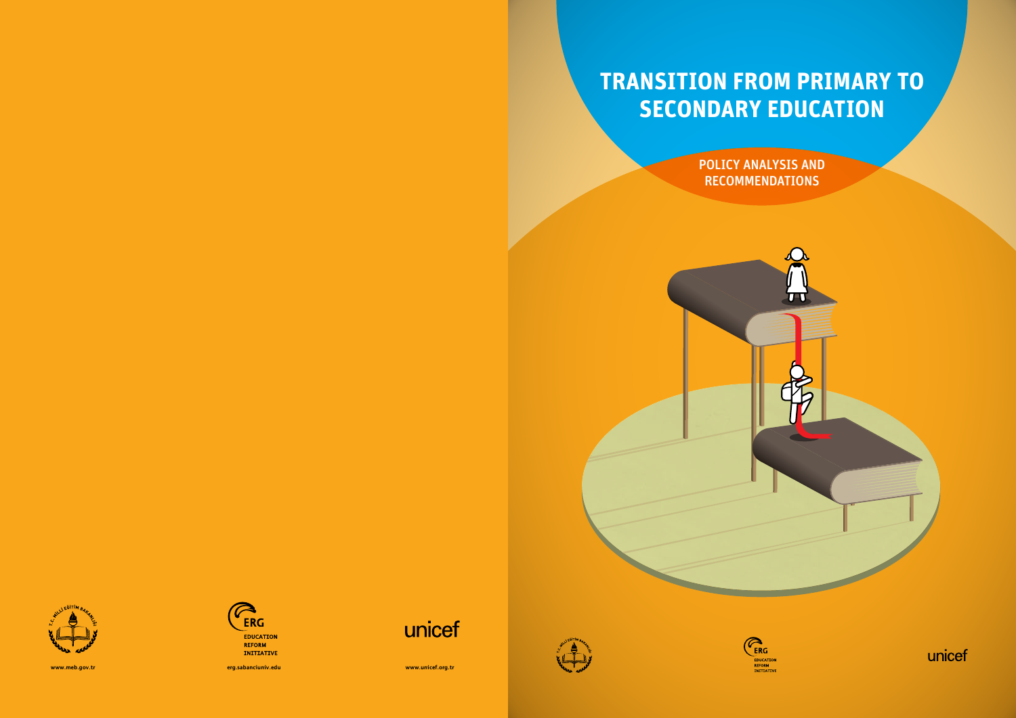POLICY ANALYSIS AND RECOMMENDATIONS







**www.meb.gov.tr erg.sabanciuniv.edu www.unicef.org.tr**









unicef

# **TRANSITION FROM PRIMARY TO SECONDARY EDUCATION**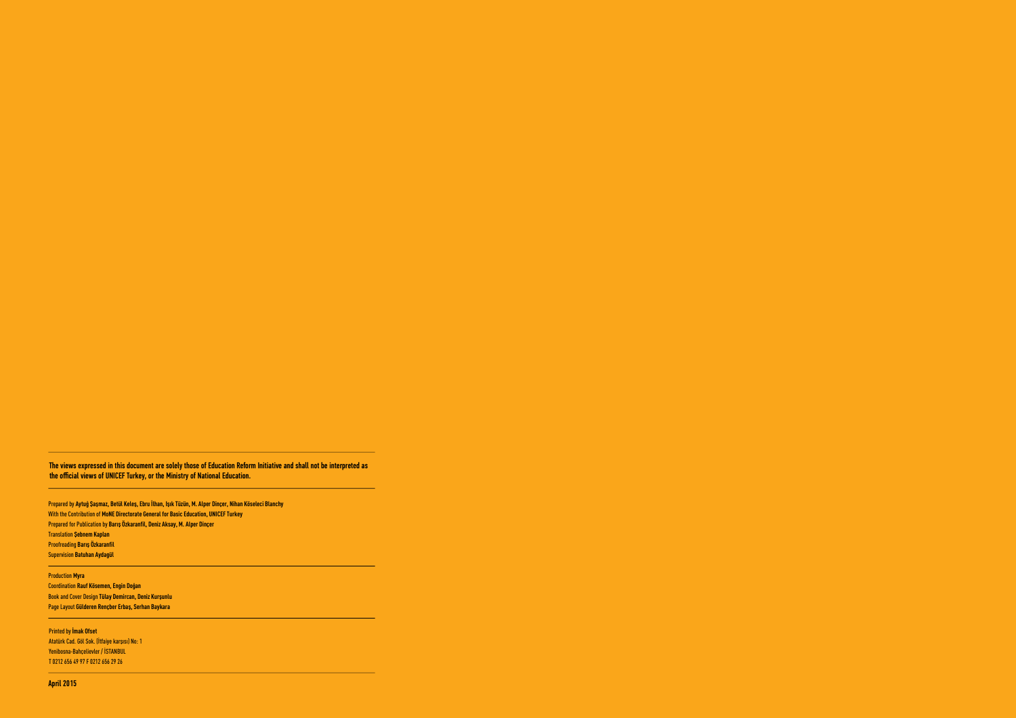The views expressed in this document are solely those of Education Reform Initiative and shall not be interpreted as the official views of UNICEF Turkey, or the Ministry of National Education.

Production **Myra** Coordination **Rauf Kösemen, Engin Doğan** Book and Cover Design **Tülay Demircan, Deniz Kurşunlu** Page Layout **Gülderen Rençber Erbaş, Serhan Baykara**

Printed by **İmak Ofset** Atatürk Cad. Göl Sok. (İtfaiye karşısı) No: 1 Yenibosna-Bahçelievler / İSTANBUL T 0212 656 49 97 F 0212 656 29 26

Prepared by **Aytuğ Şaşmaz, Betül Keleş, Ebru İlhan, Işık Tüzün, M. Alper Dinçer, Nihan Köseleci Blanchy**  With the Contribution of **MoNE Directorate General for Basic Education, UNICEF Turkey** Prepared for Publication by **Barış Özkaranfil, Deniz Aksay, M. Alper Dinçer** Translation **Şebnem Kaplan**  Proofreading **Barış Özkaranfil** Supervision **Batuhan Aydagül**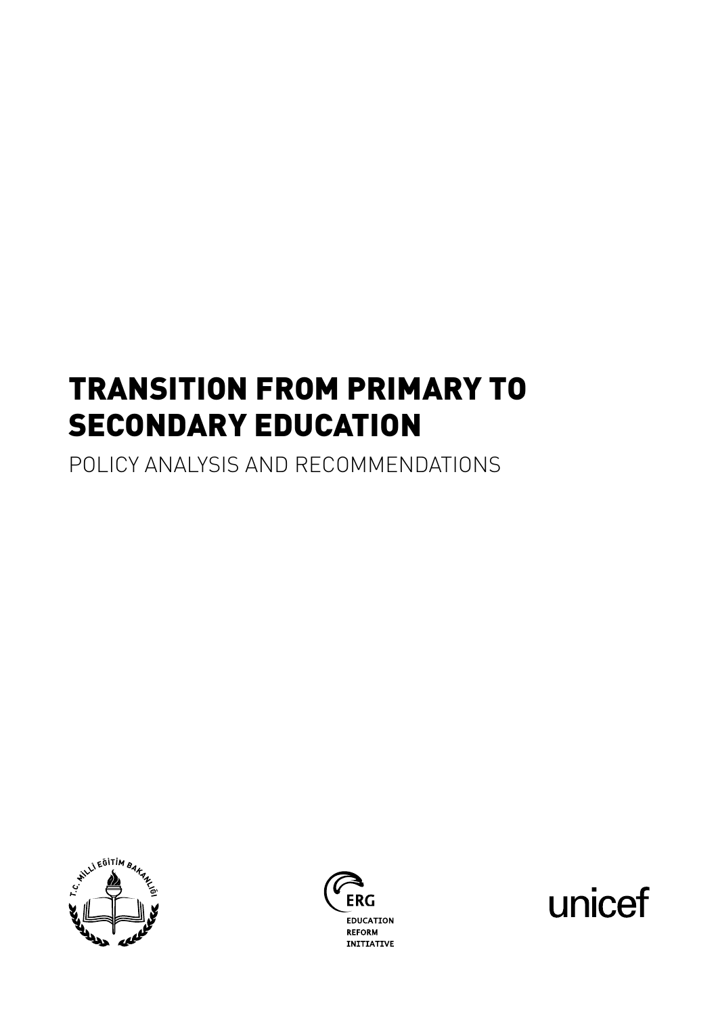# TRANSITION FROM PRIMARY TO SECONDARY EDUCATION

POLICY ANALYSIS AND RECOMMENDATIONS





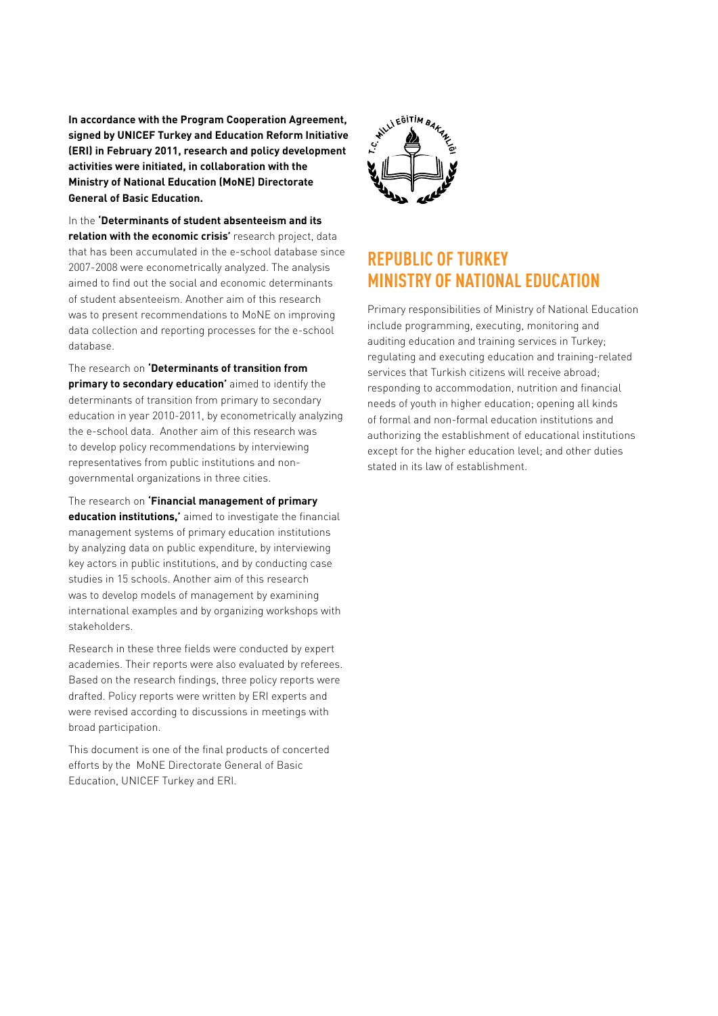**In accordance with the Program Cooperation Agreement, signed by UNICEF Turkey and Education Reform Initiative (ERI) in February 2011, research and policy development activities were initiated, in collaboration with the Ministry of National Education (MoNE) Directorate General of Basic Education.** 

In the **'Determinants of student absenteeism and its relation with the economic crisis'** research project, data that has been accumulated in the e-school database since 2007-2008 were econometrically analyzed. The analysis aimed to find out the social and economic determinants of student absenteeism. Another aim of this research was to present recommendations to MoNE on improving data collection and reporting processes for the e-school database.

The research on **'Determinants of transition from primary to secondary education'** aimed to identify the determinants of transition from primary to secondary education in year 2010-2011, by econometrically analyzing the e-school data. Another aim of this research was to develop policy recommendations by interviewing representatives from public institutions and nongovernmental organizations in three cities.

The research on **'Financial management of primary education institutions,'** aimed to investigate the financial management systems of primary education institutions by analyzing data on public expenditure, by interviewing key actors in public institutions, and by conducting case studies in 15 schools. Another aim of this research was to develop models of management by examining international examples and by organizing workshops with stakeholders.

Research in these three fields were conducted by expert academies. Their reports were also evaluated by referees. Based on the research findings, three policy reports were drafted. Policy reports were written by ERI experts and were revised according to discussions in meetings with broad participation.

This document is one of the final products of concerted efforts by the MoNE Directorate General of Basic Education, UNICEF Turkey and ERI.



## **REPUBLIC OF TURKEY MINISTRY OF NATIONAL EDUCATION**

Primary responsibilities of Ministry of National Education include programming, executing, monitoring and auditing education and training services in Turkey; regulating and executing education and training-related services that Turkish citizens will receive abroad; responding to accommodation, nutrition and financial needs of youth in higher education; opening all kinds of formal and non-formal education institutions and authorizing the establishment of educational institutions except for the higher education level; and other duties stated in its law of establishment.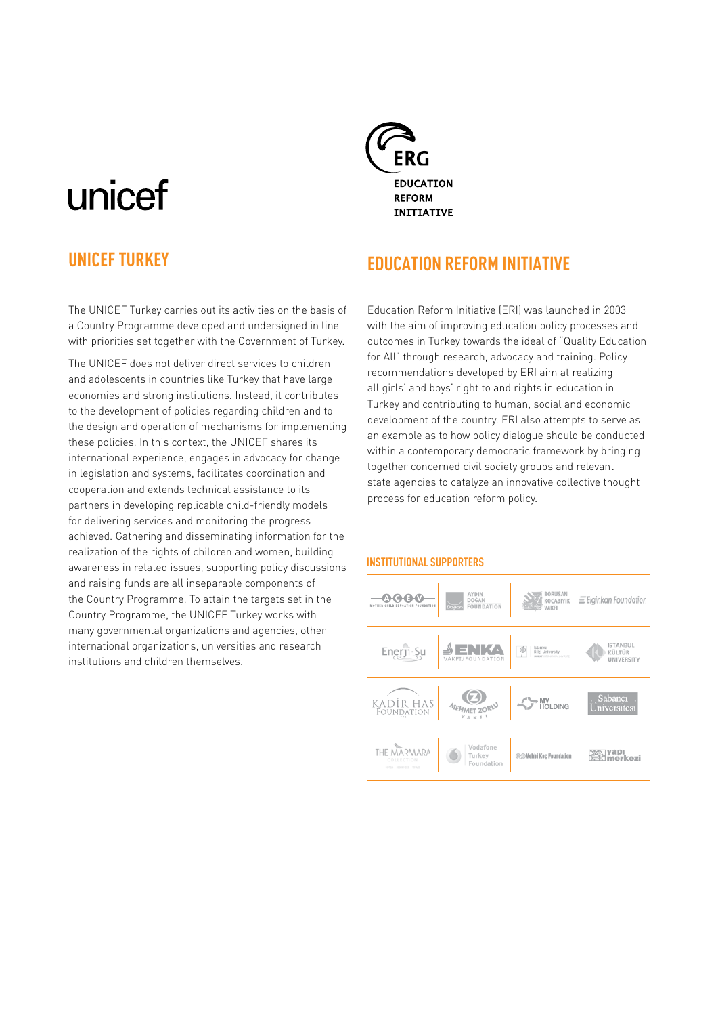# unicef

## **UNICEF TURKEY**

The UNICEF Turkey carries out its activities on the basis of a Country Programme developed and undersigned in line with priorities set together with the Government of Turkey.

The UNICEF does not deliver direct services to children and adolescents in countries like Turkey that have large economies and strong institutions. Instead, it contributes to the development of policies regarding children and to the design and operation of mechanisms for implementing these policies. In this context, the UNICEF shares its international experience, engages in advocacy for change in legislation and systems, facilitates coordination and cooperation and extends technical assistance to its partners in developing replicable child-friendly models for delivering services and monitoring the progress achieved. Gathering and disseminating information for the realization of the rights of children and women, building awareness in related issues, supporting policy discussions and raising funds are all inseparable components of the Country Programme. To attain the targets set in the Country Programme, the UNICEF Turkey works with many governmental organizations and agencies, other international organizations, universities and research institutions and children themselves.



## **EDUCATION REFORM INITIATIVE**

Education Reform Initiative (ERI) was launched in 2003 with the aim of improving education policy processes and outcomes in Turkey towards the ideal of "Quality Education for All" through research, advocacy and training. Policy recommendations developed by ERI aim at realizing all girls' and boys' right to and rights in education in Turkey and contributing to human, social and economic development of the country. ERI also attempts to serve as an example as to how policy dialogue should be conducted within a contemporary democratic framework by bringing together concerned civil society groups and relevant state agencies to catalyze an innovative collective thought process for education reform policy.

#### **INSTITUTIONAL SUPPORTERS**

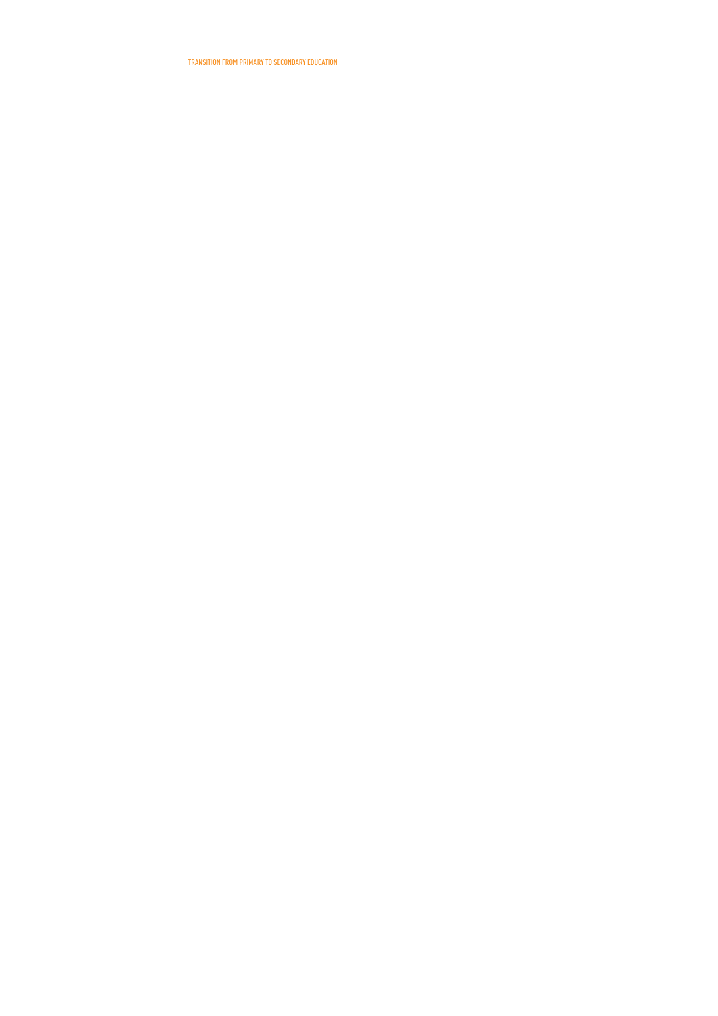TRANSITION FROM PRIMARY TO SECONDARY EDUCATION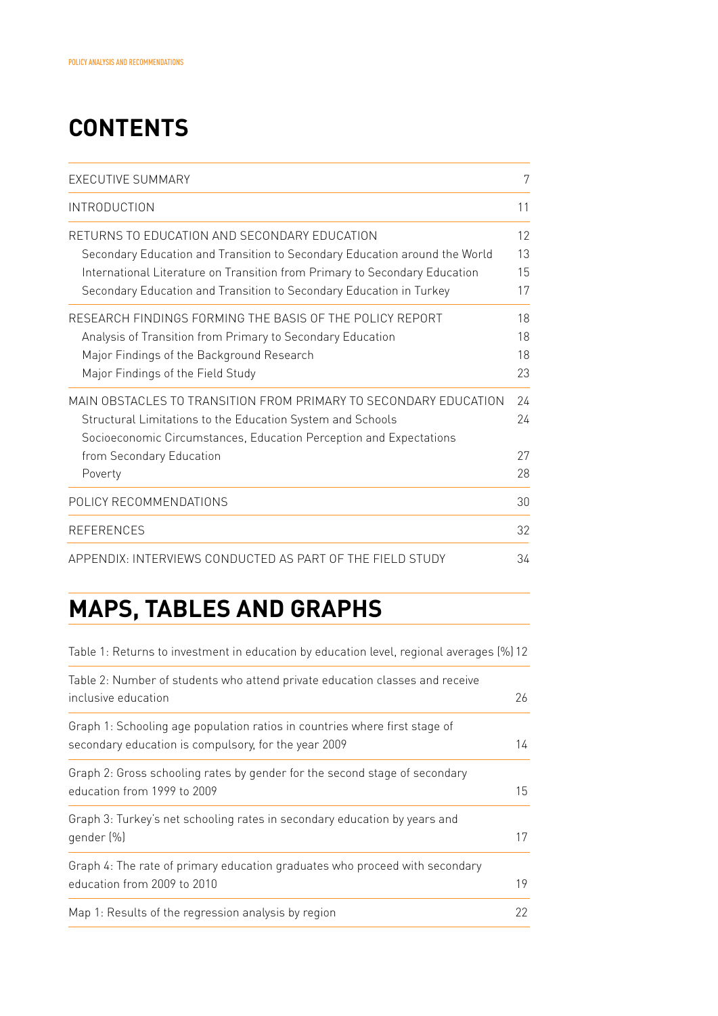# **CONTENTS**

| EXECUTIVE SUMMARY                                                                                                                                                                                                                                                               | 7                    |
|---------------------------------------------------------------------------------------------------------------------------------------------------------------------------------------------------------------------------------------------------------------------------------|----------------------|
| <b>INTRODUCTION</b>                                                                                                                                                                                                                                                             | 11                   |
| RETURNS TO EDUCATION AND SECONDARY EDUCATION<br>Secondary Education and Transition to Secondary Education around the World<br>International Literature on Transition from Primary to Secondary Education<br>Secondary Education and Transition to Secondary Education in Turkey | 12<br>13<br>15<br>17 |
| RESEARCH FINDINGS FORMING THE BASIS OF THE POLICY REPORT<br>Analysis of Transition from Primary to Secondary Education<br>Major Findings of the Background Research<br>Major Findings of the Field Study                                                                        | 18<br>18<br>18<br>23 |
| MAIN OBSTACLES TO TRANSITION FROM PRIMARY TO SECONDARY EDUCATION<br>Structural Limitations to the Education System and Schools<br>Socioeconomic Circumstances, Education Perception and Expectations<br>from Secondary Education<br>Poverty                                     | 24<br>24<br>27<br>28 |
| POLICY RECOMMENDATIONS                                                                                                                                                                                                                                                          | 30                   |
| <b>REFERENCES</b>                                                                                                                                                                                                                                                               | 32                   |
| APPENDIX: INTERVIEWS CONDUCTED AS PART OF THE FIELD STUDY                                                                                                                                                                                                                       | 34                   |

# **MAPS, TABLES AND GRAPHS**

Table 1: Returns to investment in education by education level, regional averages (%)12

| Table 2: Number of students who attend private education classes and receive                                                       |    |
|------------------------------------------------------------------------------------------------------------------------------------|----|
| inclusive education                                                                                                                | 26 |
| Graph 1: Schooling age population ratios in countries where first stage of<br>secondary education is compulsory, for the year 2009 | 14 |
| Graph 2: Gross schooling rates by gender for the second stage of secondary<br>education from 1999 to 2009                          | 15 |
| Graph 3: Turkey's net schooling rates in secondary education by years and<br>gender (%)                                            | 17 |
| Graph 4: The rate of primary education graduates who proceed with secondary<br>education from 2009 to 2010                         | 19 |
| Map 1: Results of the regression analysis by region                                                                                | 22 |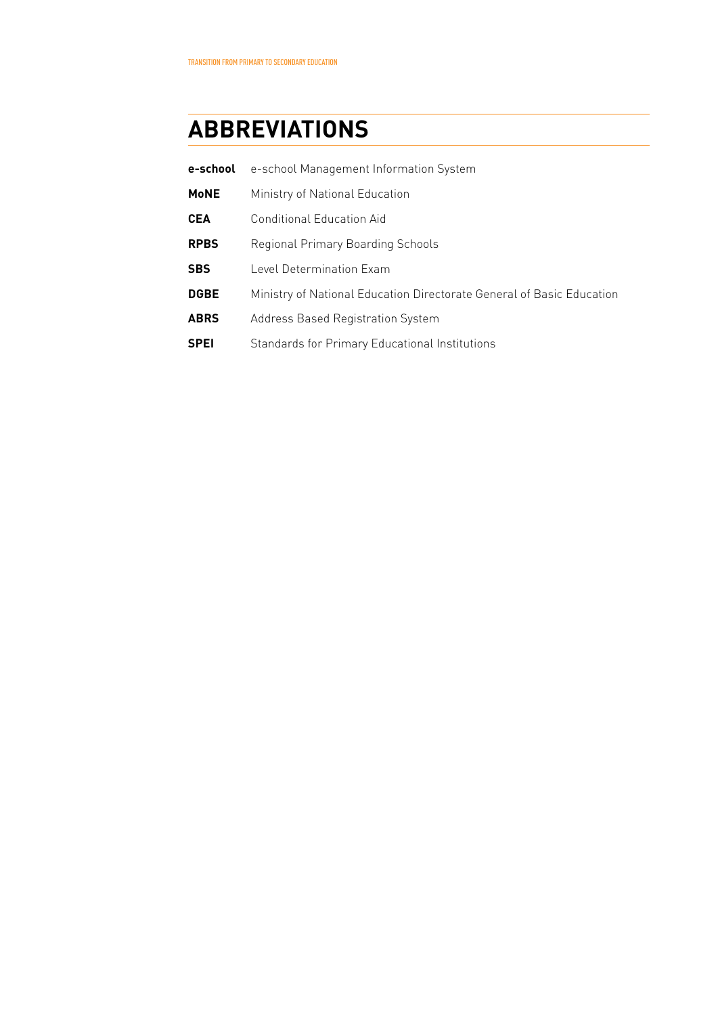# **ABBREVIATIONS**

| <b>e-school</b> e-school Management Information System |  |
|--------------------------------------------------------|--|
|                                                        |  |

- **MoNE** Ministry of National Education
- **CEA** Conditional Education Aid
- **RPBS** Regional Primary Boarding Schools
- **SBS** Level Determination Exam
- **DGBE** Ministry of National Education Directorate General of Basic Education
- **ABRS** Address Based Registration System
- **SPEI** Standards for Primary Educational Institutions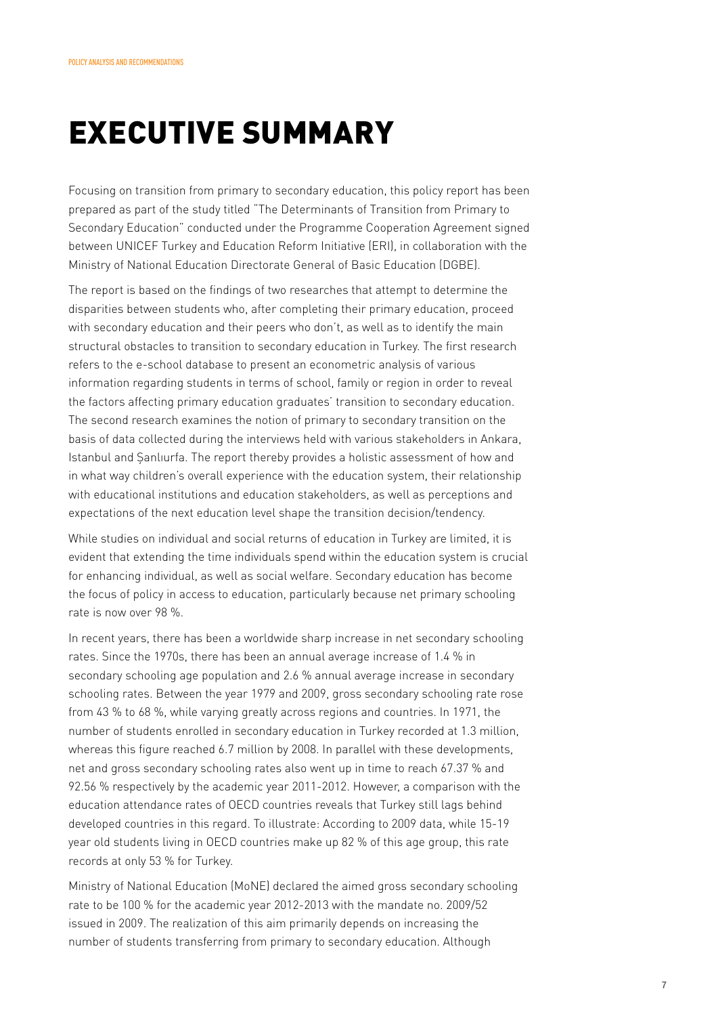# EXECUTIVE SUMMARY

Focusing on transition from primary to secondary education, this policy report has been prepared as part of the study titled "The Determinants of Transition from Primary to Secondary Education" conducted under the Programme Cooperation Agreement signed between UNICEF Turkey and Education Reform Initiative (ERI), in collaboration with the Ministry of National Education Directorate General of Basic Education (DGBE).

The report is based on the findings of two researches that attempt to determine the disparities between students who, after completing their primary education, proceed with secondary education and their peers who don't, as well as to identify the main structural obstacles to transition to secondary education in Turkey. The first research refers to the e-school database to present an econometric analysis of various information regarding students in terms of school, family or region in order to reveal the factors affecting primary education graduates' transition to secondary education. The second research examines the notion of primary to secondary transition on the basis of data collected during the interviews held with various stakeholders in Ankara, Istanbul and Şanlıurfa. The report thereby provides a holistic assessment of how and in what way children's overall experience with the education system, their relationship with educational institutions and education stakeholders, as well as perceptions and expectations of the next education level shape the transition decision/tendency.

While studies on individual and social returns of education in Turkey are limited, it is evident that extending the time individuals spend within the education system is crucial for enhancing individual, as well as social welfare. Secondary education has become the focus of policy in access to education, particularly because net primary schooling rate is now over 98 %.

In recent years, there has been a worldwide sharp increase in net secondary schooling rates. Since the 1970s, there has been an annual average increase of 1.4 % in secondary schooling age population and 2.6 % annual average increase in secondary schooling rates. Between the year 1979 and 2009, gross secondary schooling rate rose from 43 % to 68 %, while varying greatly across regions and countries. In 1971, the number of students enrolled in secondary education in Turkey recorded at 1.3 million, whereas this figure reached 6.7 million by 2008. In parallel with these developments, net and gross secondary schooling rates also went up in time to reach 67.37 % and 92.56 % respectively by the academic year 2011-2012. However, a comparison with the education attendance rates of OECD countries reveals that Turkey still lags behind developed countries in this regard. To illustrate: According to 2009 data, while 15-19 year old students living in OECD countries make up 82 % of this age group, this rate records at only 53 % for Turkey.

Ministry of National Education (MoNE) declared the aimed gross secondary schooling rate to be 100 % for the academic year 2012-2013 with the mandate no. 2009/52 issued in 2009. The realization of this aim primarily depends on increasing the number of students transferring from primary to secondary education. Although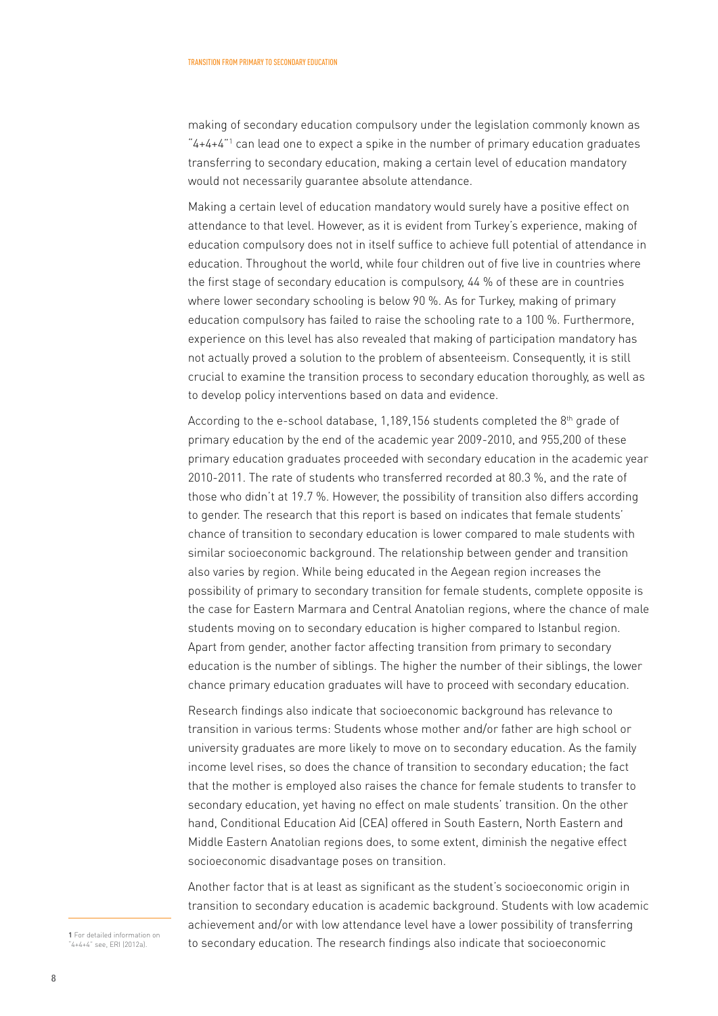making of secondary education compulsory under the legislation commonly known as  $4+4+4$ <sup> $1$ </sup> can lead one to expect a spike in the number of primary education graduates transferring to secondary education, making a certain level of education mandatory would not necessarily guarantee absolute attendance.

Making a certain level of education mandatory would surely have a positive effect on attendance to that level. However, as it is evident from Turkey's experience, making of education compulsory does not in itself suffice to achieve full potential of attendance in education. Throughout the world, while four children out of five live in countries where the first stage of secondary education is compulsory, 44 % of these are in countries where lower secondary schooling is below 90 %. As for Turkey, making of primary education compulsory has failed to raise the schooling rate to a 100 %. Furthermore, experience on this level has also revealed that making of participation mandatory has not actually proved a solution to the problem of absenteeism. Consequently, it is still crucial to examine the transition process to secondary education thoroughly, as well as to develop policy interventions based on data and evidence.

According to the e-school database, 1,189,156 students completed the  $8<sup>th</sup>$  grade of primary education by the end of the academic year 2009-2010, and 955,200 of these primary education graduates proceeded with secondary education in the academic year 2010-2011. The rate of students who transferred recorded at 80.3 %, and the rate of those who didn't at 19.7 %. However, the possibility of transition also differs according to gender. The research that this report is based on indicates that female students' chance of transition to secondary education is lower compared to male students with similar socioeconomic background. The relationship between gender and transition also varies by region. While being educated in the Aegean region increases the possibility of primary to secondary transition for female students, complete opposite is the case for Eastern Marmara and Central Anatolian regions, where the chance of male students moving on to secondary education is higher compared to Istanbul region. Apart from gender, another factor affecting transition from primary to secondary education is the number of siblings. The higher the number of their siblings, the lower chance primary education graduates will have to proceed with secondary education.

Research findings also indicate that socioeconomic background has relevance to transition in various terms: Students whose mother and/or father are high school or university graduates are more likely to move on to secondary education. As the family income level rises, so does the chance of transition to secondary education; the fact that the mother is employed also raises the chance for female students to transfer to secondary education, yet having no effect on male students' transition. On the other hand, Conditional Education Aid (CEA) offered in South Eastern, North Eastern and Middle Eastern Anatolian regions does, to some extent, diminish the negative effect socioeconomic disadvantage poses on transition.

Another factor that is at least as significant as the student's socioeconomic origin in transition to secondary education is academic background. Students with low academic achievement and/or with low attendance level have a lower possibility of transferring 1 For detailed information on<br>
"4+4+4" see, ERI (2012a). **1999 to secondary education. The research findings also indicate that socioeconomic** 

"4+4+4" see, ERI (2012a).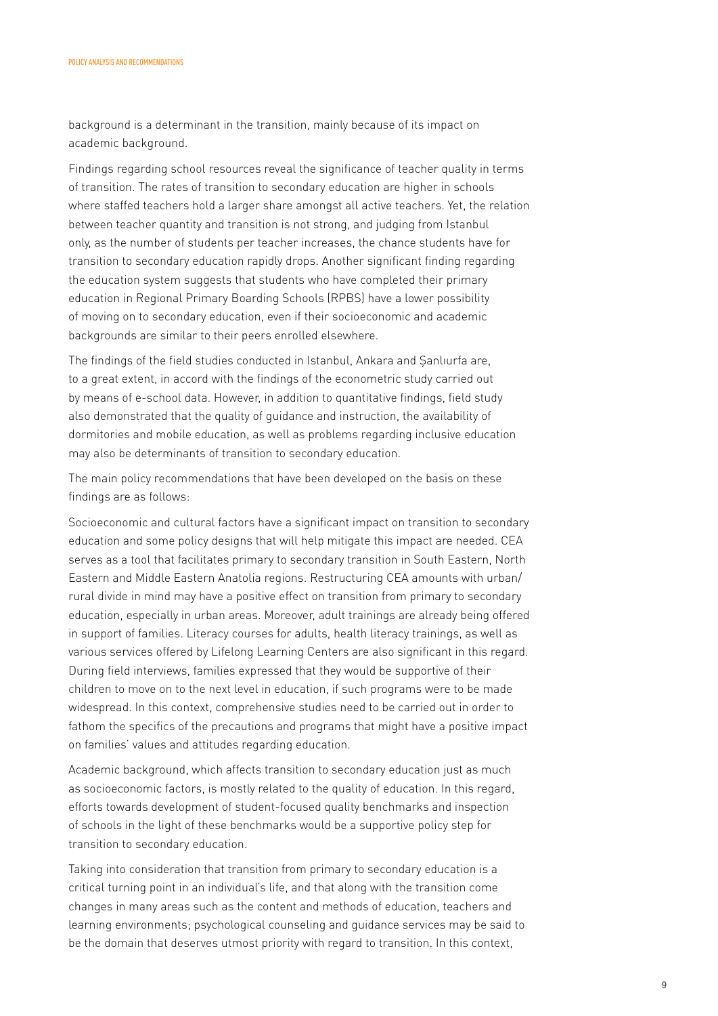background is a determinant in the transition, mainly because of its impact on academic background.

Findings regarding school resources reveal the significance of teacher quality in terms of transition. The rates of transition to secondary education are higher in schools where staffed teachers hold a larger share amongst all active teachers. Yet, the relation between teacher quantity and transition is not strong, and judging from Istanbul only, as the number of students per teacher increases, the chance students have for transition to secondary education rapidly drops. Another significant finding regarding the education system suggests that students who have completed their primary education in Regional Primary Boarding Schools (RPBS) have a lower possibility of moving on to secondary education, even if their socioeconomic and academic backgrounds are similar to their peers enrolled elsewhere.

The findings of the field studies conducted in Istanbul, Ankara and Şanlıurfa are, to a great extent, in accord with the findings of the econometric study carried out by means of e-school data. However, in addition to quantitative findings, field study also demonstrated that the quality of guidance and instruction, the availability of dormitories and mobile education, as well as problems regarding inclusive education may also be determinants of transition to secondary education.

The main policy recommendations that have been developed on the basis on these findings are as follows:

Socioeconomic and cultural factors have a significant impact on transition to secondary education and some policy designs that will help mitigate this impact are needed. CEA serves as a tool that facilitates primary to secondary transition in South Eastern, North Eastern and Middle Eastern Anatolia regions. Restructuring CEA amounts with urban/ rural divide in mind may have a positive effect on transition from primary to secondary education, especially in urban areas. Moreover, adult trainings are already being offered in support of families. Literacy courses for adults, health literacy trainings, as well as various services offered by Lifelong Learning Centers are also significant in this regard. During field interviews, families expressed that they would be supportive of their children to move on to the next level in education, if such programs were to be made widespread. In this context, comprehensive studies need to be carried out in order to fathom the specifics of the precautions and programs that might have a positive impact on families' values and attitudes regarding education.

Academic background, which affects transition to secondary education just as much as socioeconomic factors, is mostly related to the quality of education. In this regard, efforts towards development of student-focused quality benchmarks and inspection of schools in the light of these benchmarks would be a supportive policy step for transition to secondary education.

Taking into consideration that transition from primary to secondary education is a critical turning point in an individual's life, and that along with the transition come changes in many areas such as the content and methods of education, teachers and learning environments; psychological counseling and guidance services may be said to be the domain that deserves utmost priority with regard to transition. In this context,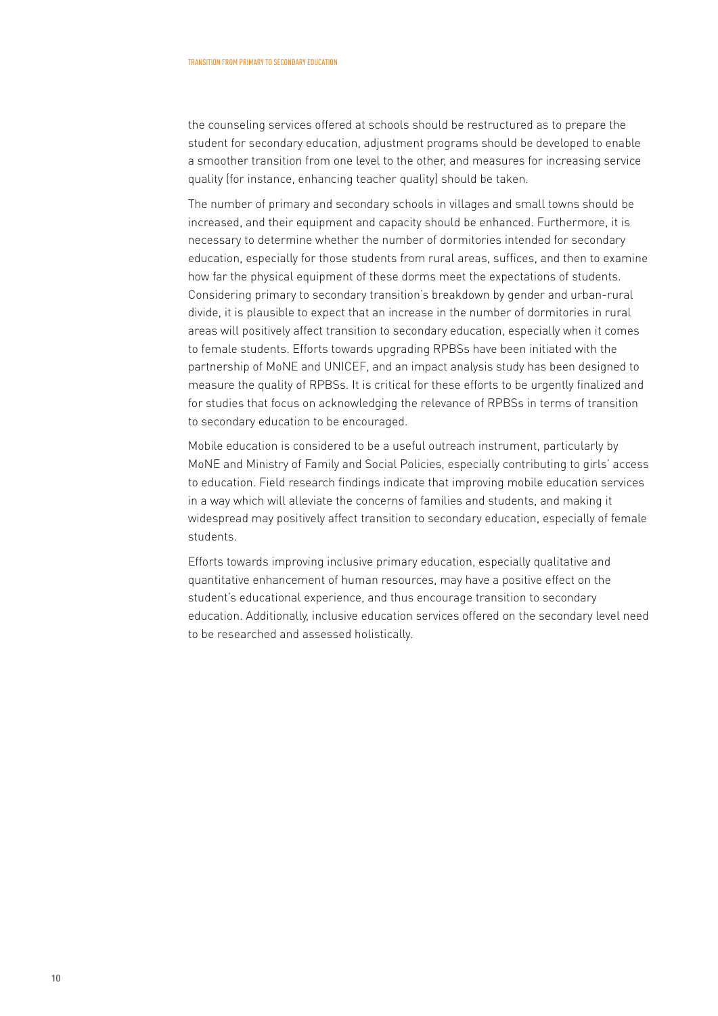the counseling services offered at schools should be restructured as to prepare the student for secondary education, adjustment programs should be developed to enable a smoother transition from one level to the other, and measures for increasing service quality (for instance, enhancing teacher quality) should be taken.

The number of primary and secondary schools in villages and small towns should be increased, and their equipment and capacity should be enhanced. Furthermore, it is necessary to determine whether the number of dormitories intended for secondary education, especially for those students from rural areas, suffices, and then to examine how far the physical equipment of these dorms meet the expectations of students. Considering primary to secondary transition's breakdown by gender and urban-rural divide, it is plausible to expect that an increase in the number of dormitories in rural areas will positively affect transition to secondary education, especially when it comes to female students. Efforts towards upgrading RPBSs have been initiated with the partnership of MoNE and UNICEF, and an impact analysis study has been designed to measure the quality of RPBSs. It is critical for these efforts to be urgently finalized and for studies that focus on acknowledging the relevance of RPBSs in terms of transition to secondary education to be encouraged.

Mobile education is considered to be a useful outreach instrument, particularly by MoNE and Ministry of Family and Social Policies, especially contributing to girls' access to education. Field research findings indicate that improving mobile education services in a way which will alleviate the concerns of families and students, and making it widespread may positively affect transition to secondary education, especially of female students.

Efforts towards improving inclusive primary education, especially qualitative and quantitative enhancement of human resources, may have a positive effect on the student's educational experience, and thus encourage transition to secondary education. Additionally, inclusive education services offered on the secondary level need to be researched and assessed holistically.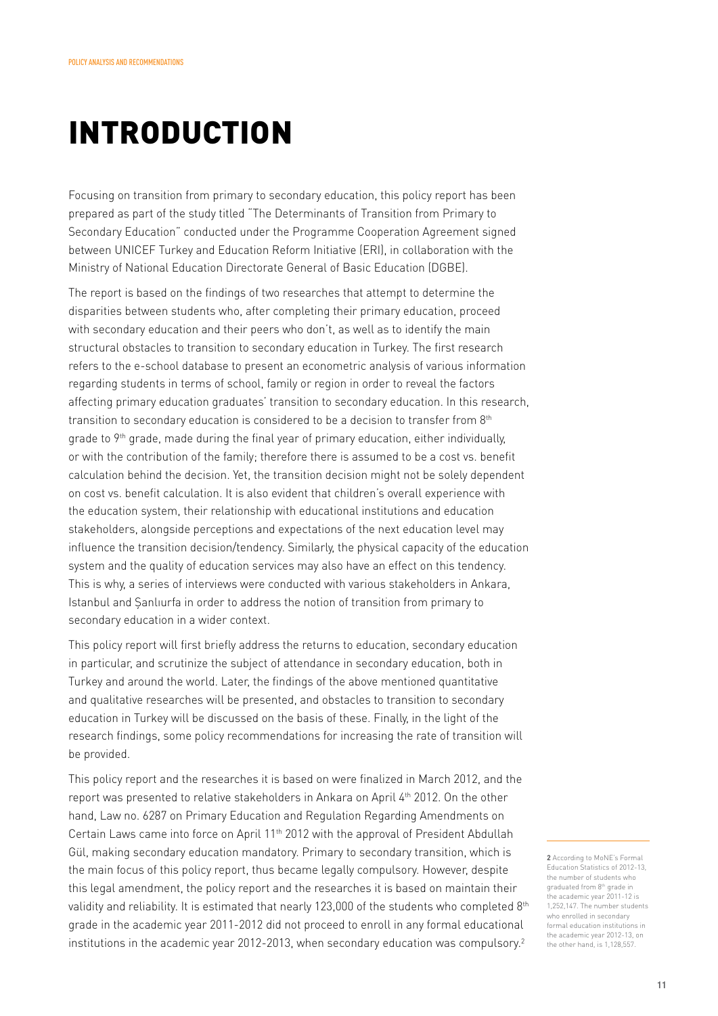# INTRODUCTION

Focusing on transition from primary to secondary education, this policy report has been prepared as part of the study titled "The Determinants of Transition from Primary to Secondary Education" conducted under the Programme Cooperation Agreement signed between UNICEF Turkey and Education Reform Initiative (ERI), in collaboration with the Ministry of National Education Directorate General of Basic Education (DGBE).

The report is based on the findings of two researches that attempt to determine the disparities between students who, after completing their primary education, proceed with secondary education and their peers who don't, as well as to identify the main structural obstacles to transition to secondary education in Turkey. The first research refers to the e-school database to present an econometric analysis of various information regarding students in terms of school, family or region in order to reveal the factors affecting primary education graduates' transition to secondary education. In this research, transition to secondary education is considered to be a decision to transfer from 8<sup>th</sup> grade to  $9<sup>th</sup>$  grade, made during the final year of primary education, either individually, or with the contribution of the family; therefore there is assumed to be a cost vs. benefit calculation behind the decision. Yet, the transition decision might not be solely dependent on cost vs. benefit calculation. It is also evident that children's overall experience with the education system, their relationship with educational institutions and education stakeholders, alongside perceptions and expectations of the next education level may influence the transition decision/tendency. Similarly, the physical capacity of the education system and the quality of education services may also have an effect on this tendency. This is why, a series of interviews were conducted with various stakeholders in Ankara, Istanbul and Şanlıurfa in order to address the notion of transition from primary to secondary education in a wider context.

This policy report will first briefly address the returns to education, secondary education in particular, and scrutinize the subject of attendance in secondary education, both in Turkey and around the world. Later, the findings of the above mentioned quantitative and qualitative researches will be presented, and obstacles to transition to secondary education in Turkey will be discussed on the basis of these. Finally, in the light of the research findings, some policy recommendations for increasing the rate of transition will be provided.

This policy report and the researches it is based on were finalized in March 2012, and the report was presented to relative stakeholders in Ankara on April 4th 2012. On the other hand, Law no. 6287 on Primary Education and Regulation Regarding Amendments on Certain Laws came into force on April 11th 2012 with the approval of President Abdullah Gül, making secondary education mandatory. Primary to secondary transition, which is the main focus of this policy report, thus became legally compulsory. However, despite this legal amendment, the policy report and the researches it is based on maintain their validity and reliability. It is estimated that nearly 123,000 of the students who completed 8<sup>th</sup> grade in the academic year 2011-2012 did not proceed to enroll in any formal educational institutions in the academic year 2012-2013, when secondary education was compulsory.<sup>2</sup>

**2** According to MoNE's Formal Education Statistics of 2012-13, the number of students who graduated from 8<sup>th</sup> grade in the academic year 2011-12 is 1,252,147. The number students who enrolled in secondary formal education institutions in the academic year 2012-13, on the other hand, is 1,128,557.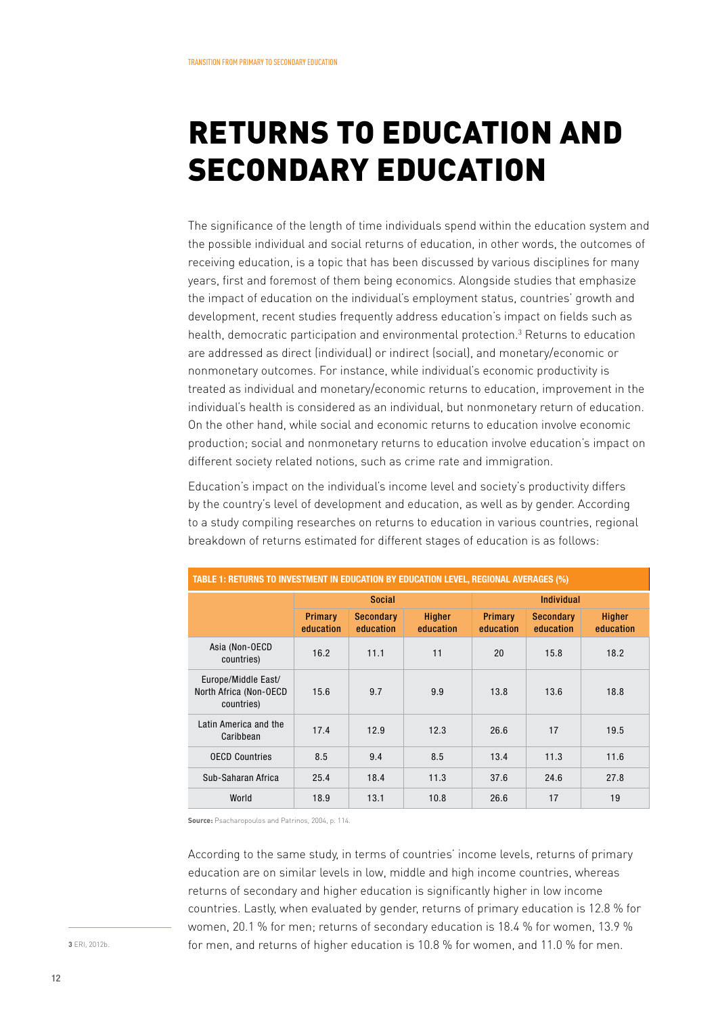# RETURNS TO EDUCATION AND SECONDARY EDUCATION

The significance of the length of time individuals spend within the education system and the possible individual and social returns of education, in other words, the outcomes of receiving education, is a topic that has been discussed by various disciplines for many years, first and foremost of them being economics. Alongside studies that emphasize the impact of education on the individual's employment status, countries' growth and development, recent studies frequently address education's impact on fields such as health, democratic participation and environmental protection.<sup>3</sup> Returns to education are addressed as direct (individual) or indirect (social), and monetary/economic or nonmonetary outcomes. For instance, while individual's economic productivity is treated as individual and monetary/economic returns to education, improvement in the individual's health is considered as an individual, but nonmonetary return of education. On the other hand, while social and economic returns to education involve economic production; social and nonmonetary returns to education involve education's impact on different society related notions, such as crime rate and immigration.

Education's impact on the individual's income level and society's productivity differs by the country's level of development and education, as well as by gender. According to a study compiling researches on returns to education in various countries, regional breakdown of returns estimated for different stages of education is as follows:

| TABLE 1: RETURNS TO INVESTMENT IN EDUCATION BY EDUCATION LEVEL, REGIONAL AVERAGES (%) |                             |                               |                            |                      |                               |                     |
|---------------------------------------------------------------------------------------|-----------------------------|-------------------------------|----------------------------|----------------------|-------------------------------|---------------------|
|                                                                                       | <b>Social</b>               |                               |                            | <b>Individual</b>    |                               |                     |
|                                                                                       | <b>Primary</b><br>education | <b>Secondary</b><br>education | <b>Higher</b><br>education | Primary<br>education | <b>Secondary</b><br>education | Higher<br>education |
| Asia (Non-OECD<br>countries)                                                          | 16.2                        | 11.1                          | 11                         | 20                   | 15.8                          | 18.2                |
| Europe/Middle East/<br>North Africa (Non-OECD<br>countries)                           | 15.6                        | 9.7                           | 9.9                        | 13.8                 | 13.6                          | 18.8                |
| Latin America and the<br>Caribbean                                                    | 17.4                        | 12.9                          | 12.3                       | 26.6                 | 17                            | 19.5                |
| <b>OECD Countries</b>                                                                 | 8.5                         | 9.4                           | 8.5                        | 13.4                 | 11.3                          | 11.6                |
| Sub-Saharan Africa                                                                    | 25.4                        | 18.4                          | 11.3                       | 37.6                 | 24.6                          | 27.8                |
| World                                                                                 | 18.9                        | 13.1                          | 10.8                       | 26.6                 | 17                            | 19                  |

**Source:** Psacharopoulos and Patrinos, 2004, p. 114.

According to the same study, in terms of countries' income levels, returns of primary education are on similar levels in low, middle and high income countries, whereas returns of secondary and higher education is significantly higher in low income countries. Lastly, when evaluated by gender, returns of primary education is 12.8 % for women, 20.1 % for men; returns of secondary education is 18.4 % for women, 13.9 % **<sup>3</sup>** ERI, 2012b. for men, and returns of higher education is 10.8 % for women, and 11.0 % for men.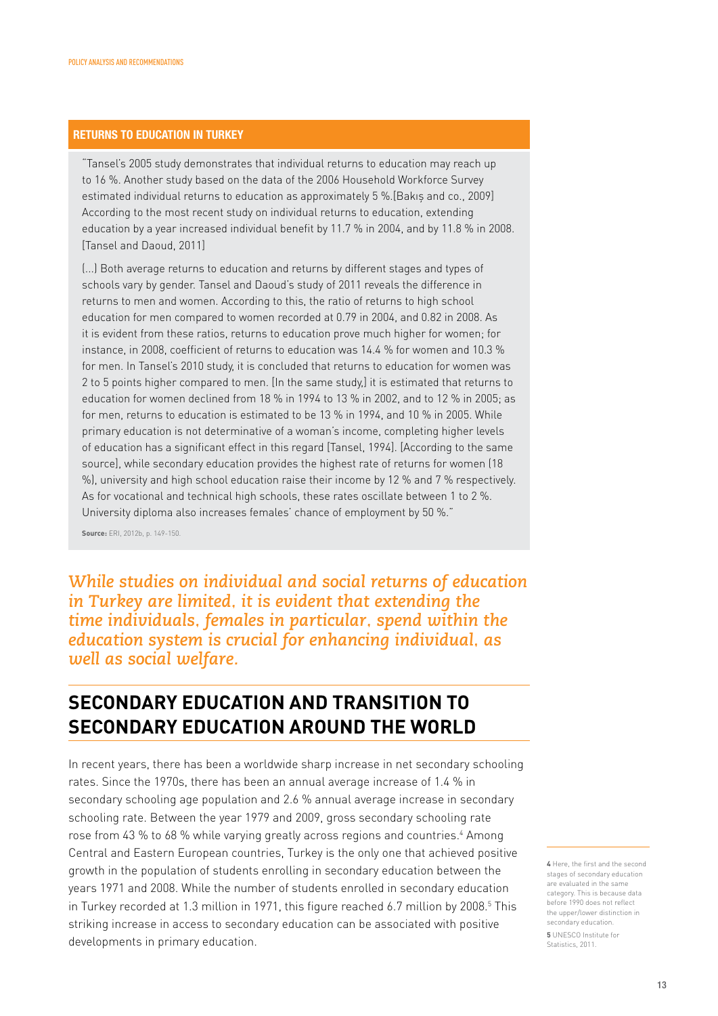#### RETURNS TO EDUCATION IN TURKEY

"Tansel's 2005 study demonstrates that individual returns to education may reach up to 16 %. Another study based on the data of the 2006 Household Workforce Survey estimated individual returns to education as approximately 5 %.[Bakış and co., 2009] According to the most recent study on individual returns to education, extending education by a year increased individual benefit by 11.7 % in 2004, and by 11.8 % in 2008. [Tansel and Daoud, 2011]

(...) Both average returns to education and returns by different stages and types of schools vary by gender. Tansel and Daoud's study of 2011 reveals the difference in returns to men and women. According to this, the ratio of returns to high school education for men compared to women recorded at 0.79 in 2004, and 0.82 in 2008. As it is evident from these ratios, returns to education prove much higher for women; for instance, in 2008, coefficient of returns to education was 14.4 % for women and 10.3 % for men. In Tansel's 2010 study, it is concluded that returns to education for women was 2 to 5 points higher compared to men. [In the same study,] it is estimated that returns to education for women declined from 18 % in 1994 to 13 % in 2002, and to 12 % in 2005; as for men, returns to education is estimated to be 13 % in 1994, and 10 % in 2005. While primary education is not determinative of a woman's income, completing higher levels of education has a significant effect in this regard [Tansel, 1994]. [According to the same source], while secondary education provides the highest rate of returns for women (18 %), university and high school education raise their income by 12 % and 7 % respectively. As for vocational and technical high schools, these rates oscillate between 1 to 2 %. University diploma also increases females' chance of employment by 50 %."

**Source:** ERI, 2012b, p. 149-150.

*While studies on individual and social returns of education in Turkey are limited, it is evident that extending the time individuals, females in particular, spend within the education system is crucial for enhancing individual, as well as social welfare.*

## **SECONDARY EDUCATION AND TRANSITION TO SECONDARY EDUCATION AROUND THE WORLD**

In recent years, there has been a worldwide sharp increase in net secondary schooling rates. Since the 1970s, there has been an annual average increase of 1.4 % in secondary schooling age population and 2.6 % annual average increase in secondary schooling rate. Between the year 1979 and 2009, gross secondary schooling rate rose from 43 % to 68 % while varying greatly across regions and countries.<sup>4</sup> Among Central and Eastern European countries, Turkey is the only one that achieved positive growth in the population of students enrolling in secondary education between the years 1971 and 2008. While the number of students enrolled in secondary education in Turkey recorded at 1.3 million in 1971, this figure reached 6.7 million by 2008. $^5$  This striking increase in access to secondary education can be associated with positive developments in primary education.

**4** Here, the first and the second stages of secondary education are evaluated in the same category. This is because data before 1990 does not reflect the upper/lower distinction in secondary education. **5** UNESCO Institute for Statistics, 2011.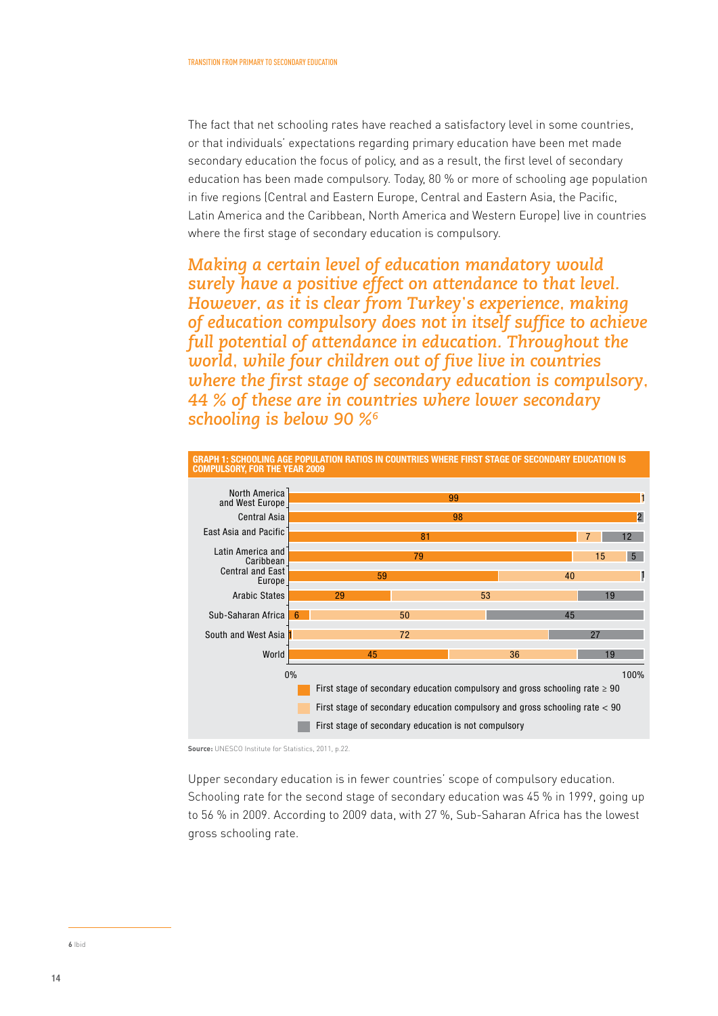The fact that net schooling rates have reached a satisfactory level in some countries, or that individuals' expectations regarding primary education have been met made secondary education the focus of policy, and as a result, the first level of secondary education has been made compulsory. Today, 80 % or more of schooling age population in five regions (Central and Eastern Europe, Central and Eastern Asia, the Pacific, Latin America and the Caribbean, North America and Western Europe) live in countries where the first stage of secondary education is compulsory.

*Making a certain level of education mandatory would surely have a positive effect on attendance to that level. However, as it is clear from Turkey's experience, making of education compulsory does not in itself suffice to achieve full potential of attendance in education. Throughout the world, while four children out of five live in countries where the first stage of secondary education is compulsory, 44 % of these are in countries where lower secondary schooling is below 90 %6*



**Source:** UNESCO Institute for Statistics, 2011, p.22.

Upper secondary education is in fewer countries' scope of compulsory education. Schooling rate for the second stage of secondary education was 45 % in 1999, going up to 56 % in 2009. According to 2009 data, with 27 %, Sub-Saharan Africa has the lowest gross schooling rate.

**6** Ibid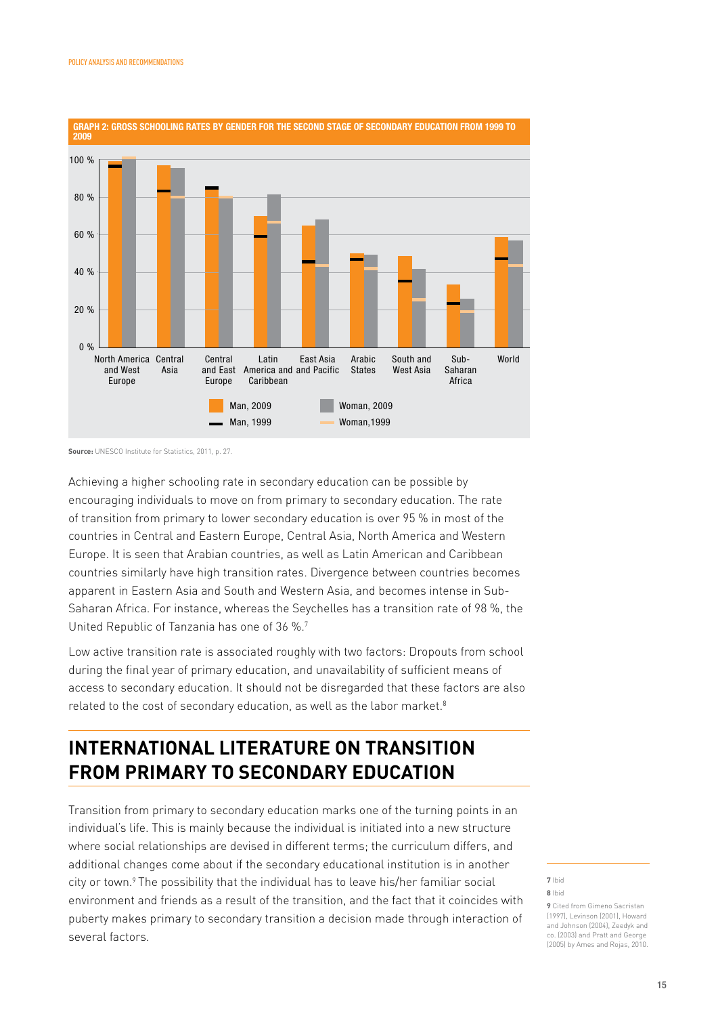

GRAPH 2: GROSS SCHOOLING RATES BY GENDER FOR THE SECOND STAGE OF SECONDARY EDUCATION FROM 1999 TO

**Source:** UNESCO Institute for Statistics, 2011, p. 27.

Achieving a higher schooling rate in secondary education can be possible by encouraging individuals to move on from primary to secondary education. The rate of transition from primary to lower secondary education is over 95 % in most of the countries in Central and Eastern Europe, Central Asia, North America and Western Europe. It is seen that Arabian countries, as well as Latin American and Caribbean countries similarly have high transition rates. Divergence between countries becomes apparent in Eastern Asia and South and Western Asia, and becomes intense in Sub-Saharan Africa. For instance, whereas the Seychelles has a transition rate of 98 %, the United Republic of Tanzania has one of 36 %.7

Low active transition rate is associated roughly with two factors: Dropouts from school during the final year of primary education, and unavailability of sufficient means of access to secondary education. It should not be disregarded that these factors are also related to the cost of secondary education, as well as the labor market.<sup>8</sup>

## **INTERNATIONAL LITERATURE ON TRANSITION FROM PRIMARY TO SECONDARY EDUCATION**

Transition from primary to secondary education marks one of the turning points in an individual's life. This is mainly because the individual is initiated into a new structure where social relationships are devised in different terms; the curriculum differs, and additional changes come about if the secondary educational institution is in another city or town.9 The possibility that the individual has to leave his/her familiar social environment and friends as a result of the transition, and the fact that it coincides with puberty makes primary to secondary transition a decision made through interaction of several factors.

**<sup>7</sup>** Ibid

**<sup>8</sup>** Ibid

**<sup>9</sup>** Cited from Gimeno Sacristan (1997), Levinson (2001), Howard and Johnson (2004), Zeedyk and co. (2003) and Pratt and George (2005) by Ames and Rojas, 2010.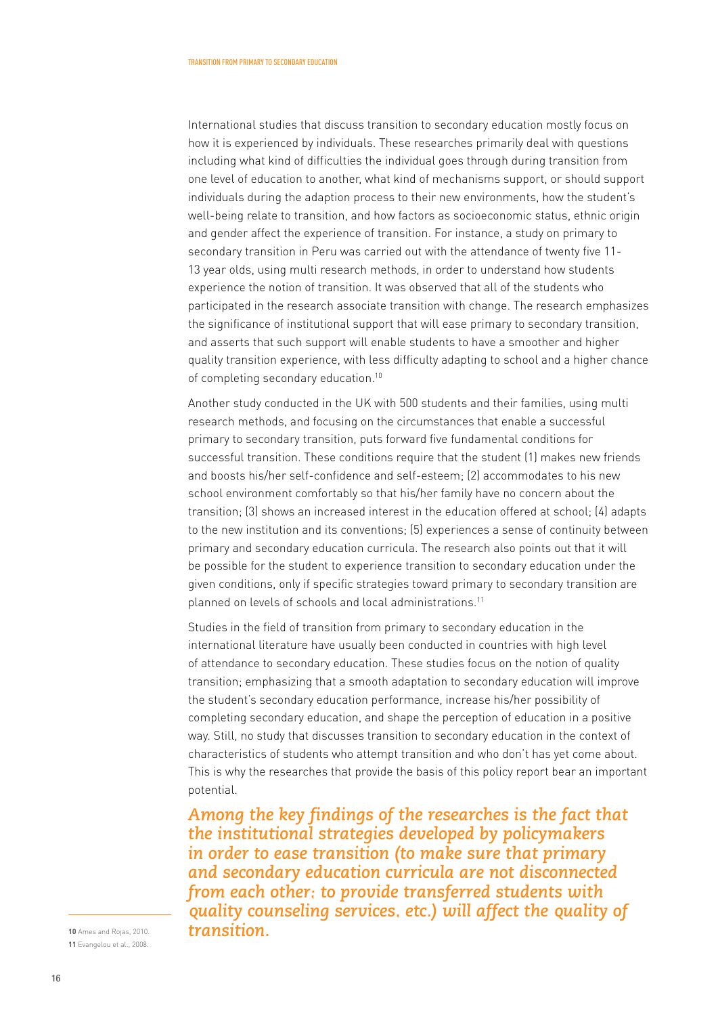International studies that discuss transition to secondary education mostly focus on how it is experienced by individuals. These researches primarily deal with questions including what kind of difficulties the individual goes through during transition from one level of education to another, what kind of mechanisms support, or should support individuals during the adaption process to their new environments, how the student's well-being relate to transition, and how factors as socioeconomic status, ethnic origin and gender affect the experience of transition. For instance, a study on primary to secondary transition in Peru was carried out with the attendance of twenty five 11- 13 year olds, using multi research methods, in order to understand how students experience the notion of transition. It was observed that all of the students who participated in the research associate transition with change. The research emphasizes the significance of institutional support that will ease primary to secondary transition, and asserts that such support will enable students to have a smoother and higher quality transition experience, with less difficulty adapting to school and a higher chance of completing secondary education.<sup>10</sup>

Another study conducted in the UK with 500 students and their families, using multi research methods, and focusing on the circumstances that enable a successful primary to secondary transition, puts forward five fundamental conditions for successful transition. These conditions require that the student (1) makes new friends and boosts his/her self-confidence and self-esteem; (2) accommodates to his new school environment comfortably so that his/her family have no concern about the transition; (3) shows an increased interest in the education offered at school; (4) adapts to the new institution and its conventions; (5) experiences a sense of continuity between primary and secondary education curricula. The research also points out that it will be possible for the student to experience transition to secondary education under the given conditions, only if specific strategies toward primary to secondary transition are planned on levels of schools and local administrations.11

Studies in the field of transition from primary to secondary education in the international literature have usually been conducted in countries with high level of attendance to secondary education. These studies focus on the notion of quality transition; emphasizing that a smooth adaptation to secondary education will improve the student's secondary education performance, increase his/her possibility of completing secondary education, and shape the perception of education in a positive way. Still, no study that discusses transition to secondary education in the context of characteristics of students who attempt transition and who don't has yet come about. This is why the researches that provide the basis of this policy report bear an important potential.

*Among the key findings of the researches is the fact that the institutional strategies developed by policymakers in order to ease transition (to make sure that primary and secondary education curricula are not disconnected from each other; to provide transferred students with quality counseling services, etc.) will affect the quality of*  **<sup>10</sup>** Ames and Rojas, 2010. *transition.* 

**11** Evangelou et al., 2008.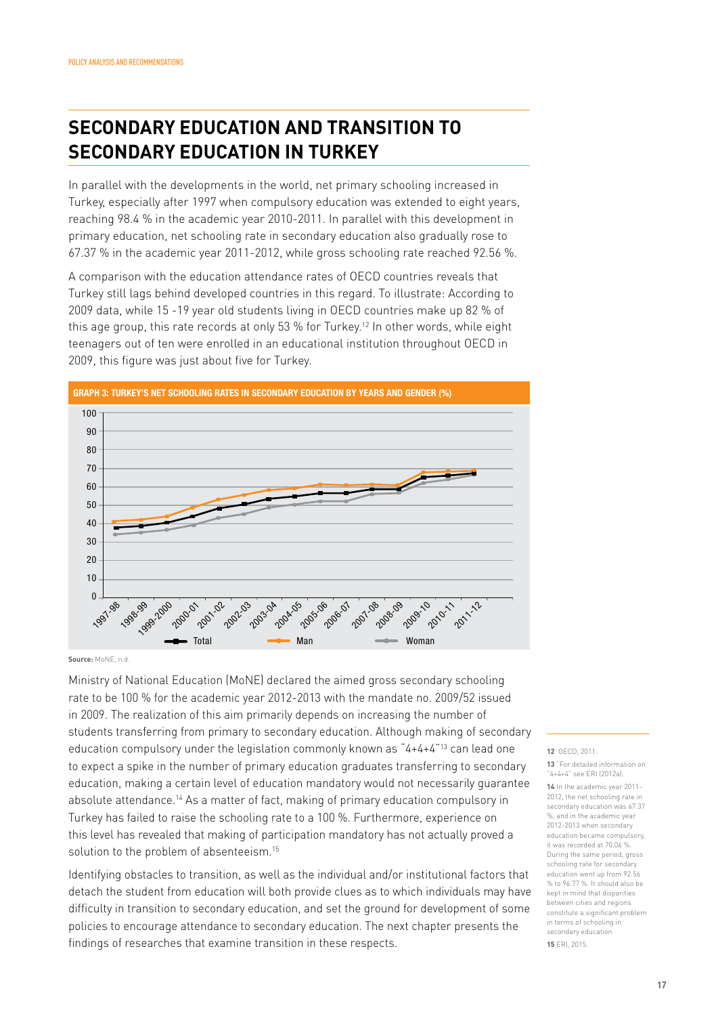# **SECONDARY EDUCATION AND TRANSITION TO SECONDARY EDUCATION IN TURKEY**

In parallel with the developments in the world, net primary schooling increased in Turkey, especially after 1997 when compulsory education was extended to eight years, reaching 98.4 % in the academic year 2010-2011. In parallel with this development in primary education, net schooling rate in secondary education also gradually rose to 67.37 % in the academic year 2011-2012, while gross schooling rate reached 92.56 %.

A comparison with the education attendance rates of OECD countries reveals that Turkey still lags behind developed countries in this regard. To illustrate: According to 2009 data, while 15 -19 year old students living in OECD countries make up 82 % of this age group, this rate records at only 53 % for Turkey.<sup>12</sup> In other words, while eight teenagers out of ten were enrolled in an educational institution throughout OECD in 2009, this figure was just about five for Turkey.



**Source:** MoNE, n.d.

Ministry of National Education (MoNE) declared the aimed gross secondary schooling rate to be 100 % for the academic year 2012-2013 with the mandate no. 2009/52 issued in 2009. The realization of this aim primarily depends on increasing the number of students transferring from primary to secondary education. Although making of secondary education compulsory under the legislation commonly known as "4+4+4"13 can lead one to expect a spike in the number of primary education graduates transferring to secondary education, making a certain level of education mandatory would not necessarily guarantee absolute attendance.14 As a matter of fact, making of primary education compulsory in Turkey has failed to raise the schooling rate to a 100 %. Furthermore, experience on this level has revealed that making of participation mandatory has not actually proved a solution to the problem of absenteeism.<sup>15</sup>

Identifying obstacles to transition, as well as the individual and/or institutional factors that detach the student from education will both provide clues as to which individuals may have difficulty in transition to secondary education, and set the ground for development of some policies to encourage attendance to secondary education. The next chapter presents the findings of researches that examine transition in these respects.

#### **12** OECD, 2011.

**13** "For detailed information on  $4+4+4$ " see ERI (2012a)

**14** In the academic year 2011- 2012, the net schooling rate in secondary education was 67.37 %, and in the academic year 2012-2013 when secondary education became compulsory, it was recorded at 70.06 %. During the same period, gross schooling rate for secondary education went up from 92.56 % to 96.77 %. It should also be kept in mind that disparities between cities and regions constitute a significant problem in terms of schooling in secondary education **15** ERI, 2015.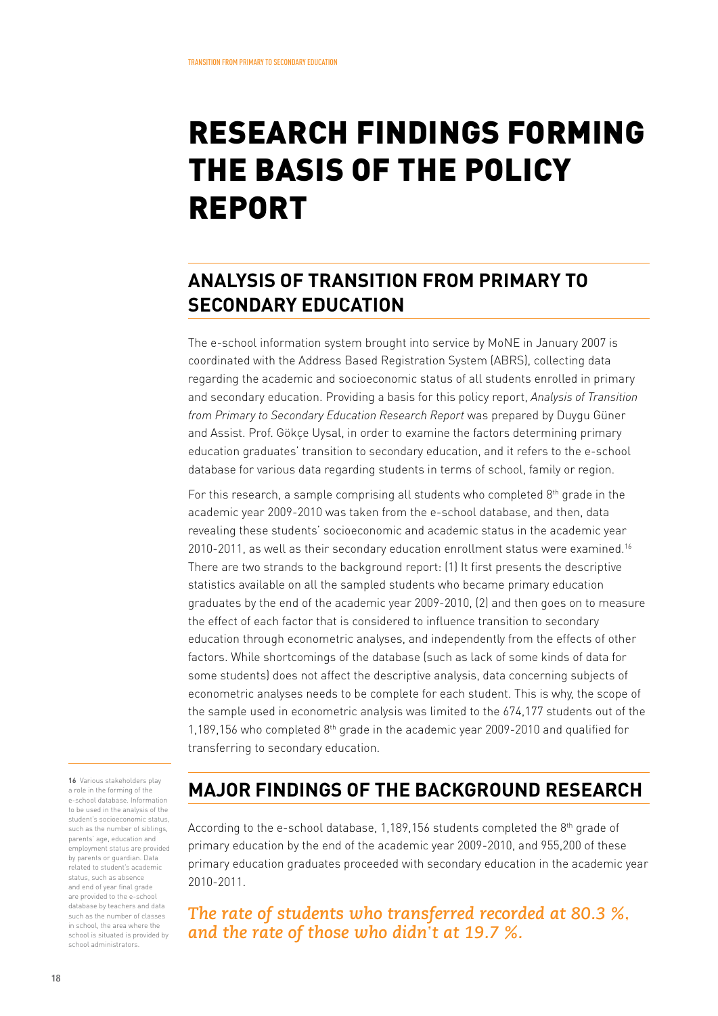# RESEARCH FINDINGS FORMING THE BASIS OF THE POLICY REPORT

# **ANALYSIS OF TRANSITION FROM PRIMARY TO SECONDARY EDUCATION**

The e-school information system brought into service by MoNE in January 2007 is coordinated with the Address Based Registration System (ABRS), collecting data regarding the academic and socioeconomic status of all students enrolled in primary and secondary education. Providing a basis for this policy report, *Analysis of Transition from Primary to Secondary Education Research Report* was prepared by Duygu Güner and Assist. Prof. Gökçe Uysal, in order to examine the factors determining primary education graduates' transition to secondary education, and it refers to the e-school database for various data regarding students in terms of school, family or region.

For this research, a sample comprising all students who completed 8<sup>th</sup> grade in the academic year 2009-2010 was taken from the e-school database, and then, data revealing these students' socioeconomic and academic status in the academic year 2010-2011, as well as their secondary education enrollment status were examined.16 There are two strands to the background report: (1) It first presents the descriptive statistics available on all the sampled students who became primary education graduates by the end of the academic year 2009-2010, (2) and then goes on to measure the effect of each factor that is considered to influence transition to secondary education through econometric analyses, and independently from the effects of other factors. While shortcomings of the database (such as lack of some kinds of data for some students) does not affect the descriptive analysis, data concerning subjects of econometric analyses needs to be complete for each student. This is why, the scope of the sample used in econometric analysis was limited to the 674,177 students out of the 1,189,156 who completed 8th grade in the academic year 2009-2010 and qualified for transferring to secondary education.

**16** Various stakeholders play a role in the forming of the e-school database. Information to be used in the analysis of the student's socioeconomic status, such as the number of siblings, parents' age, education and employment status are provided by parents or guardian. Data related to student's academic status, such as absence and end of year final grade are provided to the e-school database by teachers and data such as the number of classes in school, the area where the school is situated is provided by school administrators.

## **MAJOR FINDINGS OF THE BACKGROUND RESEARCH**

According to the e-school database, 1,189,156 students completed the 8<sup>th</sup> grade of primary education by the end of the academic year 2009-2010, and 955,200 of these primary education graduates proceeded with secondary education in the academic year 2010-2011.

*The rate of students who transferred recorded at 80.3 %, and the rate of those who didn't at 19.7 %.*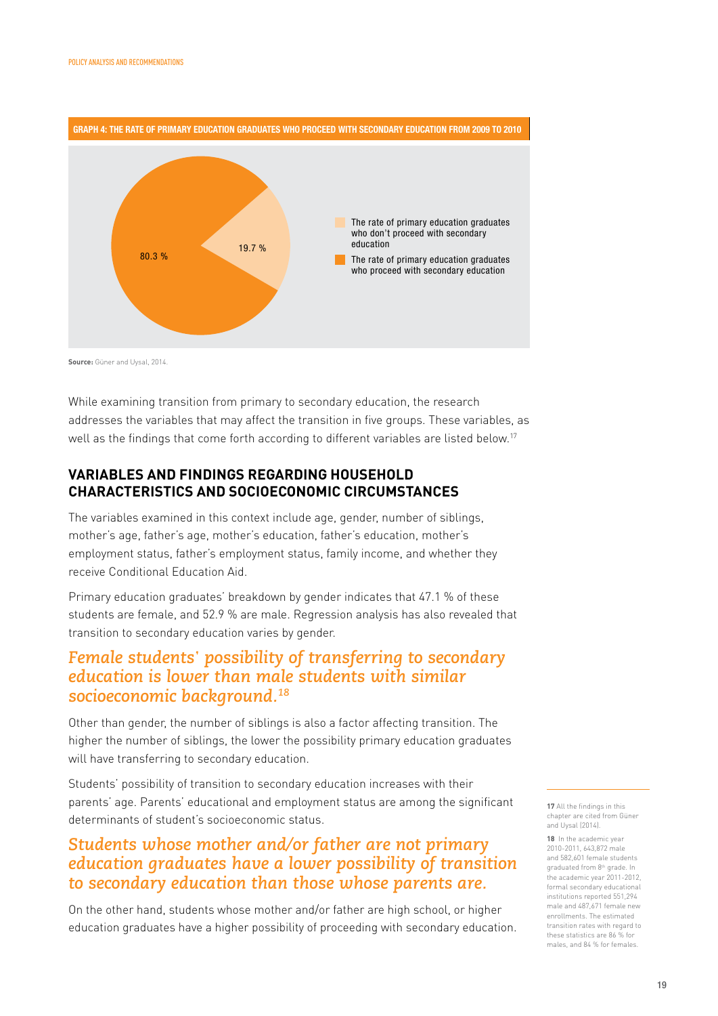

#### GRAPH 4: THE RATE OF PRIMARY EDUCATION GRADUATES WHO PROCEED WITH SECONDARY EDUCATION FROM 2009 TO 2010

**Source:** Güner and Uysal, 2014.

While examining transition from primary to secondary education, the research addresses the variables that may affect the transition in five groups. These variables, as well as the findings that come forth according to different variables are listed below.17

#### **VARIABLES AND FINDINGS REGARDING HOUSEHOLD CHARACTERISTICS AND SOCIOECONOMIC CIRCUMSTANCES**

The variables examined in this context include age, gender, number of siblings, mother's age, father's age, mother's education, father's education, mother's employment status, father's employment status, family income, and whether they receive Conditional Education Aid.

Primary education graduates' breakdown by gender indicates that 47.1 % of these students are female, and 52.9 % are male. Regression analysis has also revealed that transition to secondary education varies by gender.

## *Female students' possibility of transferring to secondary education is lower than male students with similar socioeconomic background.18*

Other than gender, the number of siblings is also a factor affecting transition. The higher the number of siblings, the lower the possibility primary education graduates will have transferring to secondary education.

Students' possibility of transition to secondary education increases with their parents' age. Parents' educational and employment status are among the significant determinants of student's socioeconomic status.

## *Students whose mother and/or father are not primary education graduates have a lower possibility of transition to secondary education than those whose parents are.*

On the other hand, students whose mother and/or father are high school, or higher education graduates have a higher possibility of proceeding with secondary education.

**17** All the findings in this chapter are cited from Güner and Uysal (2014).

**18** In the academic year 2010-2011, 643,872 male and 582,601 female students graduated from 8<sup>th</sup> grade. In the academic year 2011-2012, formal secondary educational institutions reported 551,294 male and 487,671 female new enrollments. The estimated transition rates with regard to these statistics are 86 % for males, and 84 % for females.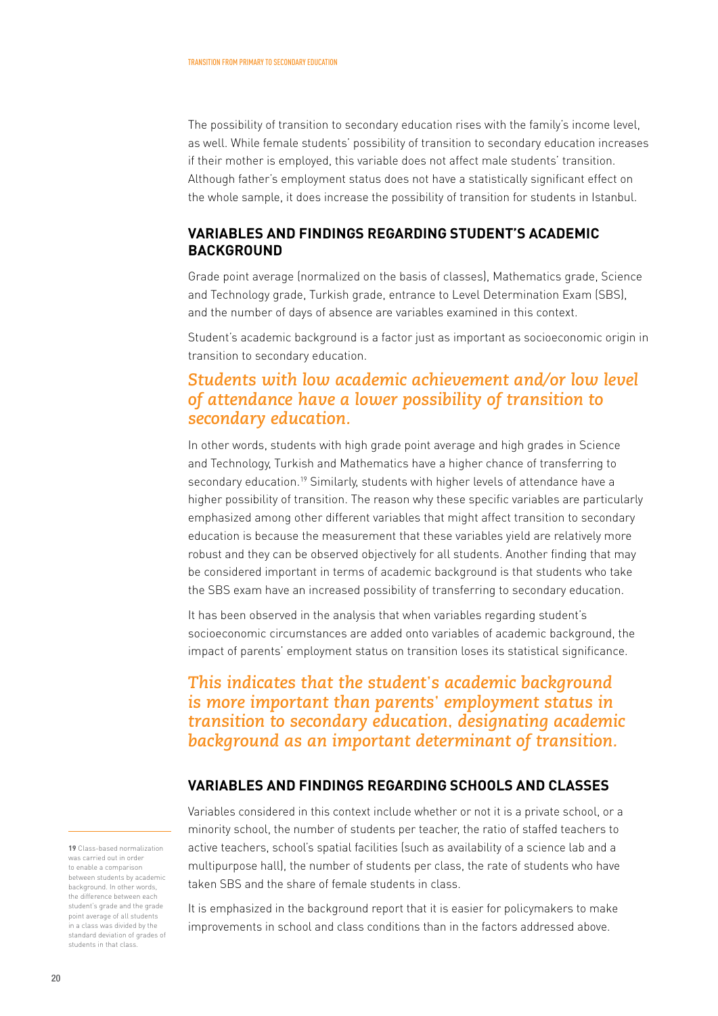The possibility of transition to secondary education rises with the family's income level, as well. While female students' possibility of transition to secondary education increases if their mother is employed, this variable does not affect male students' transition. Although father's employment status does not have a statistically significant effect on the whole sample, it does increase the possibility of transition for students in Istanbul.

#### **VARIABLES AND FINDINGS REGARDING STUDENT'S ACADEMIC BACKGROUND**

Grade point average (normalized on the basis of classes), Mathematics grade, Science and Technology grade, Turkish grade, entrance to Level Determination Exam (SBS), and the number of days of absence are variables examined in this context.

Student's academic background is a factor just as important as socioeconomic origin in transition to secondary education.

## *Students with low academic achievement and/or low level of attendance have a lower possibility of transition to secondary education.*

In other words, students with high grade point average and high grades in Science and Technology, Turkish and Mathematics have a higher chance of transferring to secondary education.<sup>19</sup> Similarly, students with higher levels of attendance have a higher possibility of transition. The reason why these specific variables are particularly emphasized among other different variables that might affect transition to secondary education is because the measurement that these variables yield are relatively more robust and they can be observed objectively for all students. Another finding that may be considered important in terms of academic background is that students who take the SBS exam have an increased possibility of transferring to secondary education.

It has been observed in the analysis that when variables regarding student's socioeconomic circumstances are added onto variables of academic background, the impact of parents' employment status on transition loses its statistical significance.

*This indicates that the student's academic background is more important than parents' employment status in transition to secondary education, designating academic background as an important determinant of transition.* 

#### **VARIABLES AND FINDINGS REGARDING SCHOOLS AND CLASSES**

Variables considered in this context include whether or not it is a private school, or a minority school, the number of students per teacher, the ratio of staffed teachers to active teachers, school's spatial facilities (such as availability of a science lab and a multipurpose hall), the number of students per class, the rate of students who have taken SBS and the share of female students in class.

It is emphasized in the background report that it is easier for policymakers to make improvements in school and class conditions than in the factors addressed above.

**19** Class-based normalization was carried out in order to enable a comparison between students by academic background. In other words, the difference between each student's grade and the grade point average of all students in a class was divided by the standard deviation of grades of students in that class.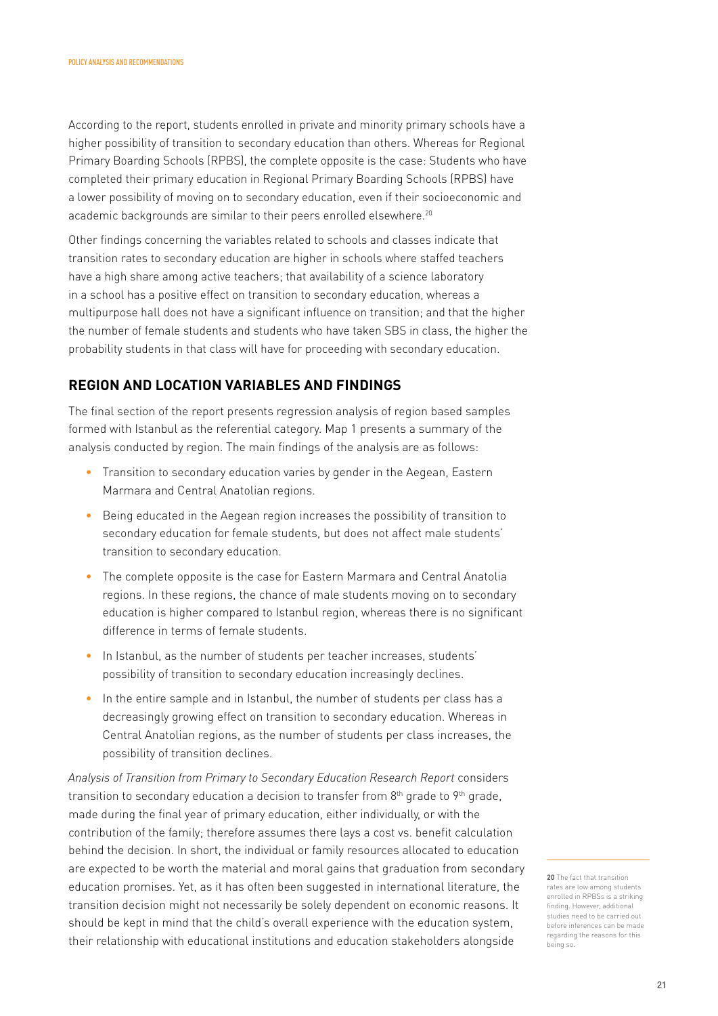According to the report, students enrolled in private and minority primary schools have a higher possibility of transition to secondary education than others. Whereas for Regional Primary Boarding Schools (RPBS), the complete opposite is the case: Students who have completed their primary education in Regional Primary Boarding Schools (RPBS) have a lower possibility of moving on to secondary education, even if their socioeconomic and academic backgrounds are similar to their peers enrolled elsewhere.<sup>20</sup>

Other findings concerning the variables related to schools and classes indicate that transition rates to secondary education are higher in schools where staffed teachers have a high share among active teachers; that availability of a science laboratory in a school has a positive effect on transition to secondary education, whereas a multipurpose hall does not have a significant influence on transition; and that the higher the number of female students and students who have taken SBS in class, the higher the probability students in that class will have for proceeding with secondary education.

#### **REGION AND LOCATION VARIABLES AND FINDINGS**

The final section of the report presents regression analysis of region based samples formed with Istanbul as the referential category. Map 1 presents a summary of the analysis conducted by region. The main findings of the analysis are as follows:

- Transition to secondary education varies by gender in the Aegean, Eastern Marmara and Central Anatolian regions.
- Being educated in the Aegean region increases the possibility of transition to secondary education for female students, but does not affect male students' transition to secondary education.
- The complete opposite is the case for Eastern Marmara and Central Anatolia regions. In these regions, the chance of male students moving on to secondary education is higher compared to Istanbul region, whereas there is no significant difference in terms of female students.
- In Istanbul, as the number of students per teacher increases, students' possibility of transition to secondary education increasingly declines.
- In the entire sample and in Istanbul, the number of students per class has a decreasingly growing effect on transition to secondary education. Whereas in Central Anatolian regions, as the number of students per class increases, the possibility of transition declines.

*Analysis of Transition from Primary to Secondary Education Research Report* considers transition to secondary education a decision to transfer from  $8<sup>th</sup>$  grade to  $9<sup>th</sup>$  grade, made during the final year of primary education, either individually, or with the contribution of the family; therefore assumes there lays a cost vs. benefit calculation behind the decision. In short, the individual or family resources allocated to education are expected to be worth the material and moral gains that graduation from secondary education promises. Yet, as it has often been suggested in international literature, the transition decision might not necessarily be solely dependent on economic reasons. It should be kept in mind that the child's overall experience with the education system, their relationship with educational institutions and education stakeholders alongside

**20** The fact that transition rates are low among students enrolled in RPBSs is a striking finding. However, additional studies need to be carried out before inferences can be made regarding the reasons for this being so.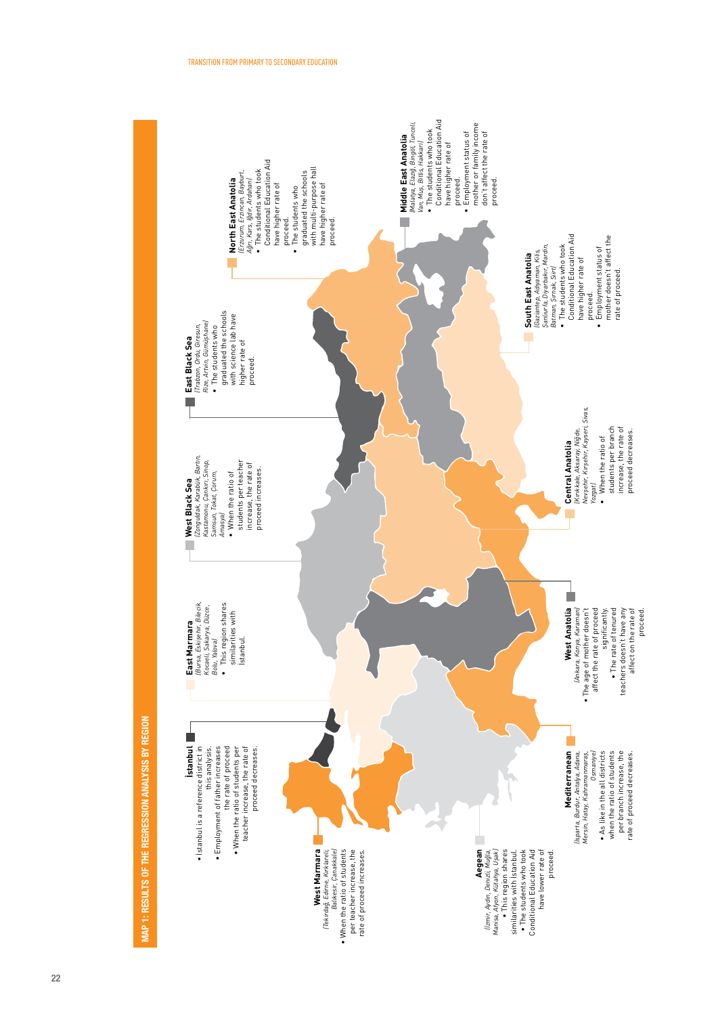

# MAP 1: RESULTS OF THE REGRESSION ANALYSIS BY REGION MAP 1: RESULTS OF THE REGRESSION ANALYSIS BY REGION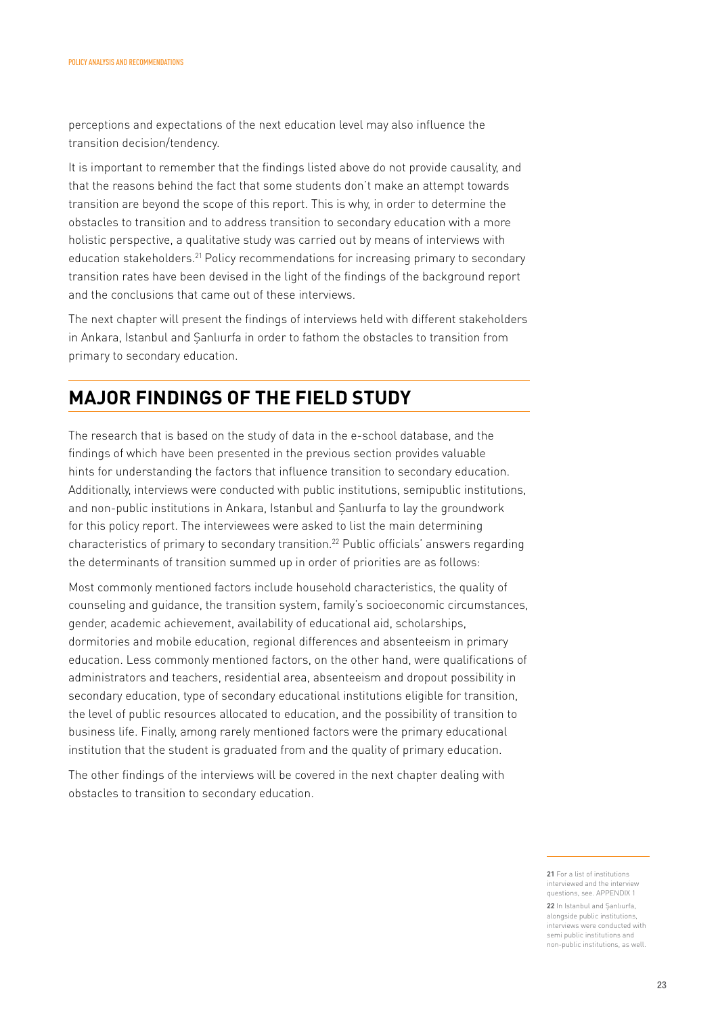perceptions and expectations of the next education level may also influence the transition decision/tendency.

It is important to remember that the findings listed above do not provide causality, and that the reasons behind the fact that some students don't make an attempt towards transition are beyond the scope of this report. This is why, in order to determine the obstacles to transition and to address transition to secondary education with a more holistic perspective, a qualitative study was carried out by means of interviews with education stakeholders.<sup>21</sup> Policy recommendations for increasing primary to secondary transition rates have been devised in the light of the findings of the background report and the conclusions that came out of these interviews.

The next chapter will present the findings of interviews held with different stakeholders in Ankara, Istanbul and Şanlıurfa in order to fathom the obstacles to transition from primary to secondary education.

# **MAJOR FINDINGS OF THE FIELD STUDY**

The research that is based on the study of data in the e-school database, and the findings of which have been presented in the previous section provides valuable hints for understanding the factors that influence transition to secondary education. Additionally, interviews were conducted with public institutions, semipublic institutions, and non-public institutions in Ankara, Istanbul and Şanlıurfa to lay the groundwork for this policy report. The interviewees were asked to list the main determining characteristics of primary to secondary transition.<sup>22</sup> Public officials' answers regarding the determinants of transition summed up in order of priorities are as follows:

Most commonly mentioned factors include household characteristics, the quality of counseling and guidance, the transition system, family's socioeconomic circumstances, gender, academic achievement, availability of educational aid, scholarships, dormitories and mobile education, regional differences and absenteeism in primary education. Less commonly mentioned factors, on the other hand, were qualifications of administrators and teachers, residential area, absenteeism and dropout possibility in secondary education, type of secondary educational institutions eligible for transition, the level of public resources allocated to education, and the possibility of transition to business life. Finally, among rarely mentioned factors were the primary educational institution that the student is graduated from and the quality of primary education.

The other findings of the interviews will be covered in the next chapter dealing with obstacles to transition to secondary education.

> **21** For a list of institutions interviewed and the interview questions, see. APPENDIX 1

**22** In Istanbul and Şanlıurfa, alongside public institutions, interviews were conducted with semi public institutions and non-public institutions, as well.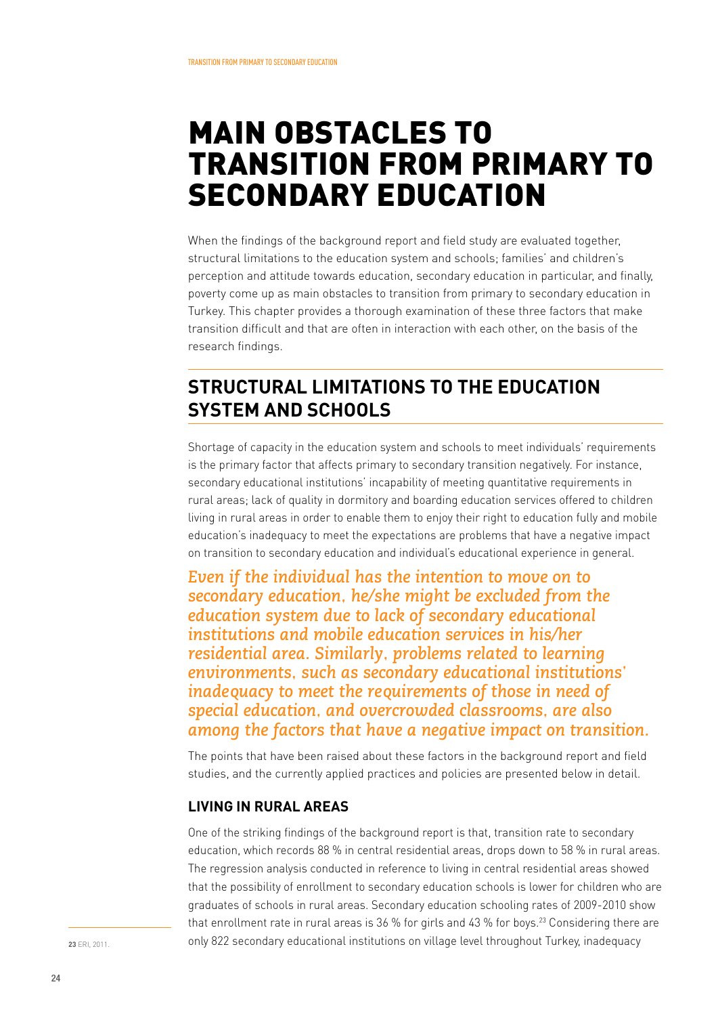# MAIN OBSTACLES TO TRANSITION FROM PRIMARY TO SECONDARY EDUCATION

When the findings of the background report and field study are evaluated together, structural limitations to the education system and schools; families' and children's perception and attitude towards education, secondary education in particular, and finally, poverty come up as main obstacles to transition from primary to secondary education in Turkey. This chapter provides a thorough examination of these three factors that make transition difficult and that are often in interaction with each other, on the basis of the research findings.

## **STRUCTURAL LIMITATIONS TO THE EDUCATION SYSTEM AND SCHOOLS**

Shortage of capacity in the education system and schools to meet individuals' requirements is the primary factor that affects primary to secondary transition negatively. For instance, secondary educational institutions' incapability of meeting quantitative requirements in rural areas; lack of quality in dormitory and boarding education services offered to children living in rural areas in order to enable them to enjoy their right to education fully and mobile education's inadequacy to meet the expectations are problems that have a negative impact on transition to secondary education and individual's educational experience in general.

*Even if the individual has the intention to move on to secondary education, he/she might be excluded from the education system due to lack of secondary educational institutions and mobile education services in his/her residential area. Similarly, problems related to learning environments, such as secondary educational institutions' inadequacy to meet the requirements of those in need of special education, and overcrowded classrooms, are also among the factors that have a negative impact on transition.* 

The points that have been raised about these factors in the background report and field studies, and the currently applied practices and policies are presented below in detail.

#### **LIVING IN RURAL AREAS**

One of the striking findings of the background report is that, transition rate to secondary education, which records 88 % in central residential areas, drops down to 58 % in rural areas. The regression analysis conducted in reference to living in central residential areas showed that the possibility of enrollment to secondary education schools is lower for children who are graduates of schools in rural areas. Secondary education schooling rates of 2009-2010 show that enrollment rate in rural areas is 36 % for girls and 43 % for boys.<sup>23</sup> Considering there are only 822 secondary educational institutions on village level throughout Turkey, inadequacy **23** ERI, 2011.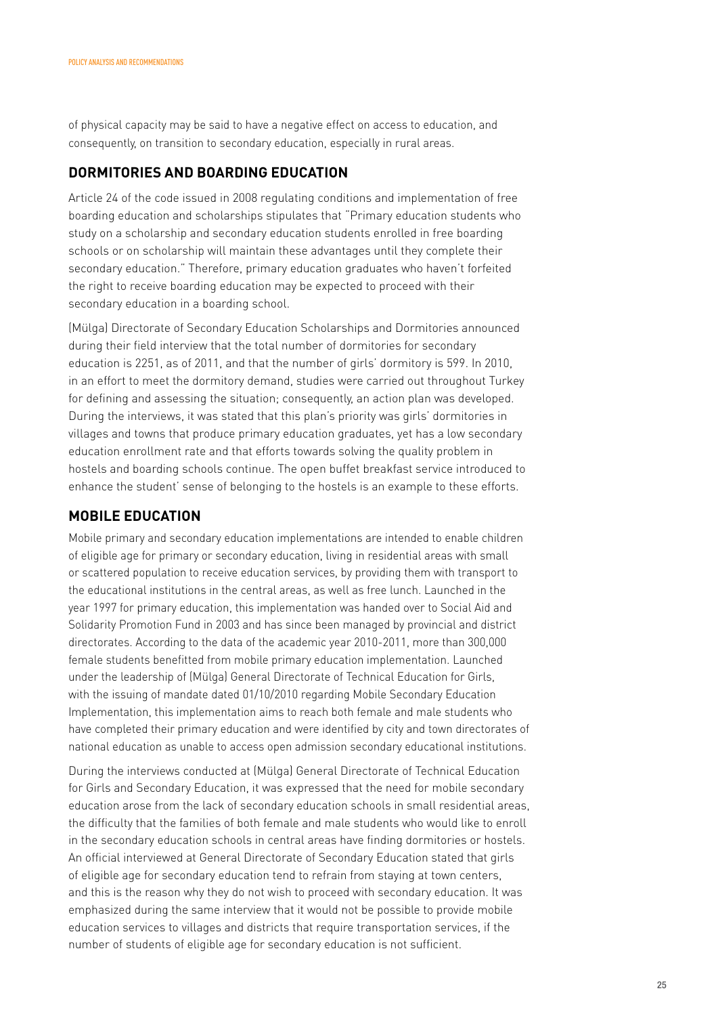of physical capacity may be said to have a negative effect on access to education, and consequently, on transition to secondary education, especially in rural areas.

#### **DORMITORIES AND BOARDING EDUCATION**

Article 24 of the code issued in 2008 regulating conditions and implementation of free boarding education and scholarships stipulates that "Primary education students who study on a scholarship and secondary education students enrolled in free boarding schools or on scholarship will maintain these advantages until they complete their secondary education." Therefore, primary education graduates who haven't forfeited the right to receive boarding education may be expected to proceed with their secondary education in a boarding school.

(Mülga) Directorate of Secondary Education Scholarships and Dormitories announced during their field interview that the total number of dormitories for secondary education is 2251, as of 2011, and that the number of girls' dormitory is 599. In 2010, in an effort to meet the dormitory demand, studies were carried out throughout Turkey for defining and assessing the situation; consequently, an action plan was developed. During the interviews, it was stated that this plan's priority was girls' dormitories in villages and towns that produce primary education graduates, yet has a low secondary education enrollment rate and that efforts towards solving the quality problem in hostels and boarding schools continue. The open buffet breakfast service introduced to enhance the student' sense of belonging to the hostels is an example to these efforts.

#### **MOBILE EDUCATION**

Mobile primary and secondary education implementations are intended to enable children of eligible age for primary or secondary education, living in residential areas with small or scattered population to receive education services, by providing them with transport to the educational institutions in the central areas, as well as free lunch. Launched in the year 1997 for primary education, this implementation was handed over to Social Aid and Solidarity Promotion Fund in 2003 and has since been managed by provincial and district directorates. According to the data of the academic year 2010-2011, more than 300,000 female students benefitted from mobile primary education implementation. Launched under the leadership of (Mülga) General Directorate of Technical Education for Girls, with the issuing of mandate dated 01/10/2010 regarding Mobile Secondary Education Implementation, this implementation aims to reach both female and male students who have completed their primary education and were identified by city and town directorates of national education as unable to access open admission secondary educational institutions.

During the interviews conducted at (Mülga) General Directorate of Technical Education for Girls and Secondary Education, it was expressed that the need for mobile secondary education arose from the lack of secondary education schools in small residential areas, the difficulty that the families of both female and male students who would like to enroll in the secondary education schools in central areas have finding dormitories or hostels. An official interviewed at General Directorate of Secondary Education stated that girls of eligible age for secondary education tend to refrain from staying at town centers, and this is the reason why they do not wish to proceed with secondary education. It was emphasized during the same interview that it would not be possible to provide mobile education services to villages and districts that require transportation services, if the number of students of eligible age for secondary education is not sufficient.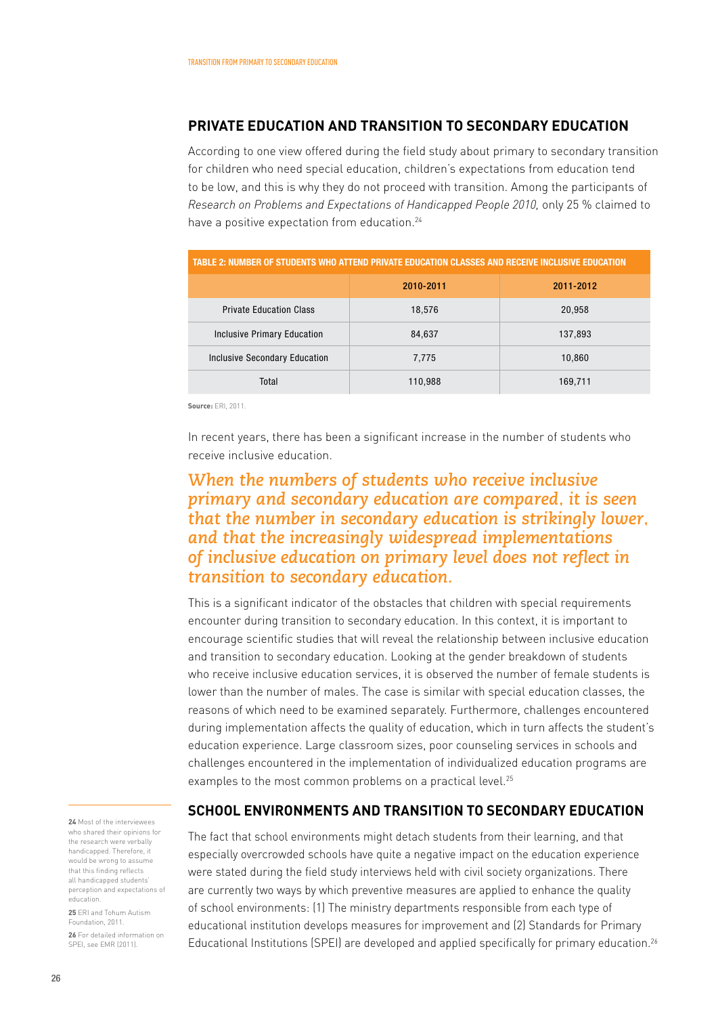#### **PRIVATE EDUCATION AND TRANSITION TO SECONDARY EDUCATION**

According to one view offered during the field study about primary to secondary transition for children who need special education, children's expectations from education tend to be low, and this is why they do not proceed with transition. Among the participants of *Research on Problems and Expectations of Handicapped People 2010,* only 25 % claimed to have a positive expectation from education.<sup>24</sup>

| TABLE 2: NUMBER OF STUDENTS WHO ATTEND PRIVATE EDUCATION CLASSES AND RECEIVE INCLUSIVE EDUCATION |           |           |
|--------------------------------------------------------------------------------------------------|-----------|-----------|
|                                                                                                  | 2010-2011 | 2011-2012 |
| <b>Private Education Class</b>                                                                   | 18,576    | 20,958    |
| Inclusive Primary Education                                                                      | 84,637    | 137,893   |
| Inclusive Secondary Education                                                                    | 7,775     | 10,860    |
| Total                                                                                            | 110,988   | 169,711   |

**Source:** ERI, 2011.

In recent years, there has been a significant increase in the number of students who receive inclusive education.

## *When the numbers of students who receive inclusive primary and secondary education are compared, it is seen that the number in secondary education is strikingly lower, and that the increasingly widespread implementations of inclusive education on primary level does not reflect in transition to secondary education.*

This is a significant indicator of the obstacles that children with special requirements encounter during transition to secondary education. In this context, it is important to encourage scientific studies that will reveal the relationship between inclusive education and transition to secondary education. Looking at the gender breakdown of students who receive inclusive education services, it is observed the number of female students is lower than the number of males. The case is similar with special education classes, the reasons of which need to be examined separately. Furthermore, challenges encountered during implementation affects the quality of education, which in turn affects the student's education experience. Large classroom sizes, poor counseling services in schools and challenges encountered in the implementation of individualized education programs are examples to the most common problems on a practical level.<sup>25</sup>

#### **SCHOOL ENVIRONMENTS AND TRANSITION TO SECONDARY EDUCATION**

The fact that school environments might detach students from their learning, and that especially overcrowded schools have quite a negative impact on the education experience were stated during the field study interviews held with civil society organizations. There are currently two ways by which preventive measures are applied to enhance the quality of school environments: (1) The ministry departments responsible from each type of educational institution develops measures for improvement and (2) Standards for Primary Educational Institutions (SPEI) are developed and applied specifically for primary education.<sup>26</sup>

**24** Most of the interviewees who shared their opinions for the research were verbally handicapped. Therefore, it would be wrong to assume that this finding reflects all handicapped students' perception and expectations of education.

**25** ERI and Tohum Autism Foundation, 2011. **26** For detailed information on

SPEI, see EMR (2011).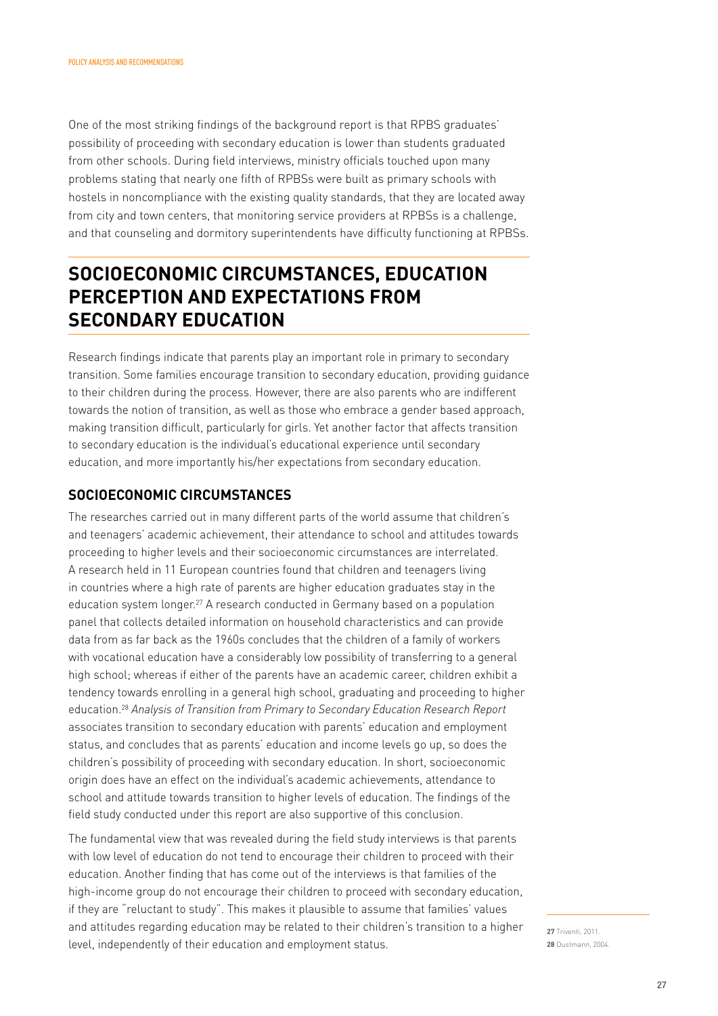One of the most striking findings of the background report is that RPBS graduates' possibility of proceeding with secondary education is lower than students graduated from other schools. During field interviews, ministry officials touched upon many problems stating that nearly one fifth of RPBSs were built as primary schools with hostels in noncompliance with the existing quality standards, that they are located away from city and town centers, that monitoring service providers at RPBSs is a challenge, and that counseling and dormitory superintendents have difficulty functioning at RPBSs.

# **SOCIOECONOMIC CIRCUMSTANCES, EDUCATION PERCEPTION AND EXPECTATIONS FROM SECONDARY EDUCATION**

Research findings indicate that parents play an important role in primary to secondary transition. Some families encourage transition to secondary education, providing guidance to their children during the process. However, there are also parents who are indifferent towards the notion of transition, as well as those who embrace a gender based approach, making transition difficult, particularly for girls. Yet another factor that affects transition to secondary education is the individual's educational experience until secondary education, and more importantly his/her expectations from secondary education.

#### **SOCIOECONOMIC CIRCUMSTANCES**

The researches carried out in many different parts of the world assume that children's and teenagers' academic achievement, their attendance to school and attitudes towards proceeding to higher levels and their socioeconomic circumstances are interrelated. A research held in 11 European countries found that children and teenagers living in countries where a high rate of parents are higher education graduates stay in the education system longer.<sup>27</sup> A research conducted in Germany based on a population panel that collects detailed information on household characteristics and can provide data from as far back as the 1960s concludes that the children of a family of workers with vocational education have a considerably low possibility of transferring to a general high school; whereas if either of the parents have an academic career, children exhibit a tendency towards enrolling in a general high school, graduating and proceeding to higher education.28 *Analysis of Transition from Primary to Secondary Education Research Report* associates transition to secondary education with parents' education and employment status, and concludes that as parents' education and income levels go up, so does the children's possibility of proceeding with secondary education. In short, socioeconomic origin does have an effect on the individual's academic achievements, attendance to school and attitude towards transition to higher levels of education. The findings of the field study conducted under this report are also supportive of this conclusion.

The fundamental view that was revealed during the field study interviews is that parents with low level of education do not tend to encourage their children to proceed with their education. Another finding that has come out of the interviews is that families of the high-income group do not encourage their children to proceed with secondary education, if they are "reluctant to study". This makes it plausible to assume that families' values and attitudes regarding education may be related to their children's transition to a higher level, independently of their education and employment status.

**27** Triventi, 2011. **28** Dustmann, 2004.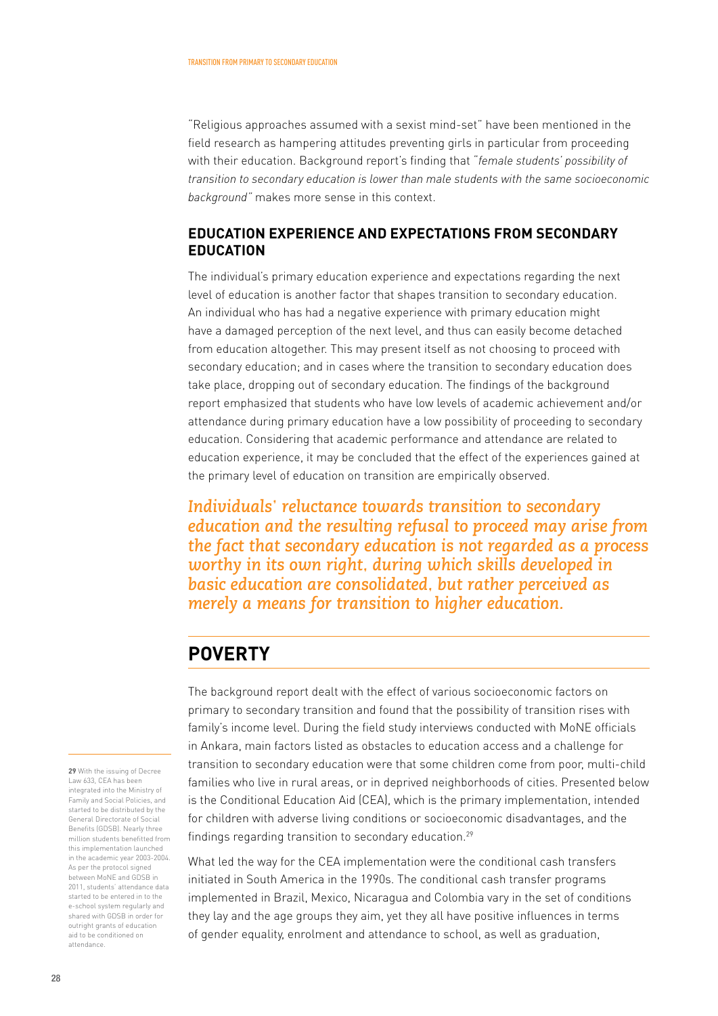"Religious approaches assumed with a sexist mind-set" have been mentioned in the field research as hampering attitudes preventing girls in particular from proceeding with their education. Background report's finding that "*female students' possibility of transition to secondary education is lower than male students with the same socioeconomic background"* makes more sense in this context.

#### **EDUCATION EXPERIENCE AND EXPECTATIONS FROM SECONDARY EDUCATION**

The individual's primary education experience and expectations regarding the next level of education is another factor that shapes transition to secondary education. An individual who has had a negative experience with primary education might have a damaged perception of the next level, and thus can easily become detached from education altogether. This may present itself as not choosing to proceed with secondary education; and in cases where the transition to secondary education does take place, dropping out of secondary education. The findings of the background report emphasized that students who have low levels of academic achievement and/or attendance during primary education have a low possibility of proceeding to secondary education. Considering that academic performance and attendance are related to education experience, it may be concluded that the effect of the experiences gained at the primary level of education on transition are empirically observed.

*Individuals' reluctance towards transition to secondary education and the resulting refusal to proceed may arise from the fact that secondary education is not regarded as a process worthy in its own right, during which skills developed in basic education are consolidated, but rather perceived as merely a means for transition to higher education.* 

## **POVERTY**

The background report dealt with the effect of various socioeconomic factors on primary to secondary transition and found that the possibility of transition rises with family's income level. During the field study interviews conducted with MoNE officials in Ankara, main factors listed as obstacles to education access and a challenge for transition to secondary education were that some children come from poor, multi-child families who live in rural areas, or in deprived neighborhoods of cities. Presented below is the Conditional Education Aid (CEA), which is the primary implementation, intended for children with adverse living conditions or socioeconomic disadvantages, and the findings regarding transition to secondary education.<sup>29</sup>

What led the way for the CEA implementation were the conditional cash transfers initiated in South America in the 1990s. The conditional cash transfer programs implemented in Brazil, Mexico, Nicaragua and Colombia vary in the set of conditions they lay and the age groups they aim, yet they all have positive influences in terms of gender equality, enrolment and attendance to school, as well as graduation,

**29** With the issuing of Decree Law 633, CEA has been integrated into the Ministry of Family and Social Policies, and started to be distributed by the General Directorate of Social Benefits (GDSB). Nearly three million students benefitted from this implementation launched in the academic year 2003-2004. As per the protocol signed between MoNE and GDSB in 2011, students' attendance data started to be entered in to the e-school system regularly and shared with GDSB in order for outright grants of education aid to be conditioned on attendance.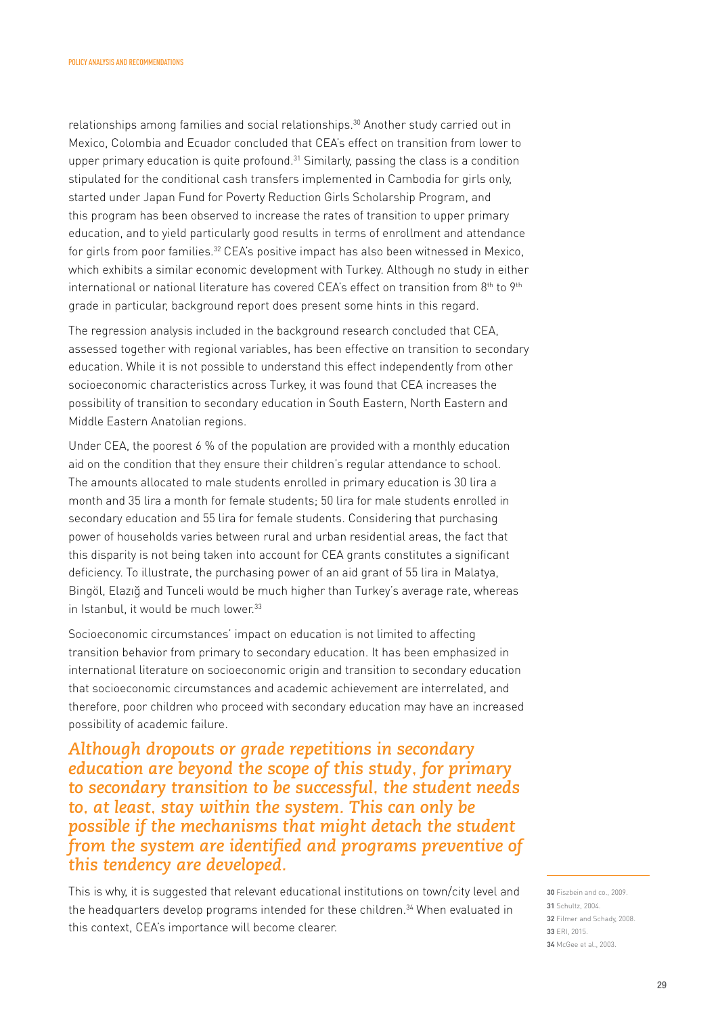relationships among families and social relationships.<sup>30</sup> Another study carried out in Mexico, Colombia and Ecuador concluded that CEA's effect on transition from lower to upper primary education is quite profound.<sup>31</sup> Similarly, passing the class is a condition stipulated for the conditional cash transfers implemented in Cambodia for girls only, started under Japan Fund for Poverty Reduction Girls Scholarship Program, and this program has been observed to increase the rates of transition to upper primary education, and to yield particularly good results in terms of enrollment and attendance for girls from poor families.<sup>32</sup> CEA's positive impact has also been witnessed in Mexico, which exhibits a similar economic development with Turkey. Although no study in either international or national literature has covered CEA's effect on transition from 8<sup>th</sup> to 9<sup>th</sup> grade in particular, background report does present some hints in this regard.

The regression analysis included in the background research concluded that CEA, assessed together with regional variables, has been effective on transition to secondary education. While it is not possible to understand this effect independently from other socioeconomic characteristics across Turkey, it was found that CEA increases the possibility of transition to secondary education in South Eastern, North Eastern and Middle Eastern Anatolian regions.

Under CEA, the poorest 6 % of the population are provided with a monthly education aid on the condition that they ensure their children's regular attendance to school. The amounts allocated to male students enrolled in primary education is 30 lira a month and 35 lira a month for female students; 50 lira for male students enrolled in secondary education and 55 lira for female students. Considering that purchasing power of households varies between rural and urban residential areas, the fact that this disparity is not being taken into account for CEA grants constitutes a significant deficiency. To illustrate, the purchasing power of an aid grant of 55 lira in Malatya, Bingöl, Elazığ and Tunceli would be much higher than Turkey's average rate, whereas in Istanbul, it would be much lower.<sup>33</sup>

Socioeconomic circumstances' impact on education is not limited to affecting transition behavior from primary to secondary education. It has been emphasized in international literature on socioeconomic origin and transition to secondary education that socioeconomic circumstances and academic achievement are interrelated, and therefore, poor children who proceed with secondary education may have an increased possibility of academic failure.

*Although dropouts or grade repetitions in secondary education are beyond the scope of this study, for primary to secondary transition to be successful, the student needs to, at least, stay within the system. This can only be possible if the mechanisms that might detach the student from the system are identified and programs preventive of this tendency are developed.* 

This is why, it is suggested that relevant educational institutions on town/city level and the headquarters develop programs intended for these children.<sup>34</sup> When evaluated in this context, CEA's importance will become clearer.

**<sup>30</sup>** Fiszbein and co., 2009. **31** Schultz, 2004. **32** Filmer and Schady, 2008. **33** ERI, 2015. **34** McGee et al., 2003.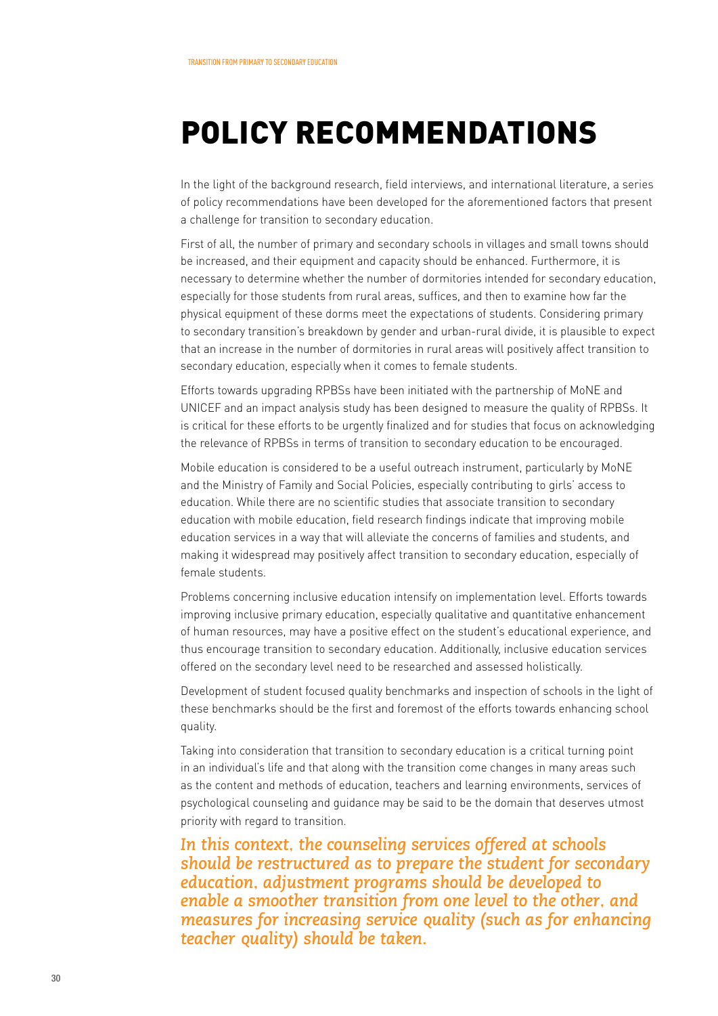# POLICY RECOMMENDATIONS

In the light of the background research, field interviews, and international literature, a series of policy recommendations have been developed for the aforementioned factors that present a challenge for transition to secondary education.

First of all, the number of primary and secondary schools in villages and small towns should be increased, and their equipment and capacity should be enhanced. Furthermore, it is necessary to determine whether the number of dormitories intended for secondary education, especially for those students from rural areas, suffices, and then to examine how far the physical equipment of these dorms meet the expectations of students. Considering primary to secondary transition's breakdown by gender and urban-rural divide, it is plausible to expect that an increase in the number of dormitories in rural areas will positively affect transition to secondary education, especially when it comes to female students.

Efforts towards upgrading RPBSs have been initiated with the partnership of MoNE and UNICEF and an impact analysis study has been designed to measure the quality of RPBSs. It is critical for these efforts to be urgently finalized and for studies that focus on acknowledging the relevance of RPBSs in terms of transition to secondary education to be encouraged.

Mobile education is considered to be a useful outreach instrument, particularly by MoNE and the Ministry of Family and Social Policies, especially contributing to girls' access to education. While there are no scientific studies that associate transition to secondary education with mobile education, field research findings indicate that improving mobile education services in a way that will alleviate the concerns of families and students, and making it widespread may positively affect transition to secondary education, especially of female students.

Problems concerning inclusive education intensify on implementation level. Efforts towards improving inclusive primary education, especially qualitative and quantitative enhancement of human resources, may have a positive effect on the student's educational experience, and thus encourage transition to secondary education. Additionally, inclusive education services offered on the secondary level need to be researched and assessed holistically.

Development of student focused quality benchmarks and inspection of schools in the light of these benchmarks should be the first and foremost of the efforts towards enhancing school quality.

Taking into consideration that transition to secondary education is a critical turning point in an individual's life and that along with the transition come changes in many areas such as the content and methods of education, teachers and learning environments, services of psychological counseling and guidance may be said to be the domain that deserves utmost priority with regard to transition.

*In this context, the counseling services offered at schools should be restructured as to prepare the student for secondary education, adjustment programs should be developed to enable a smoother transition from one level to the other, and measures for increasing service quality (such as for enhancing teacher quality) should be taken.*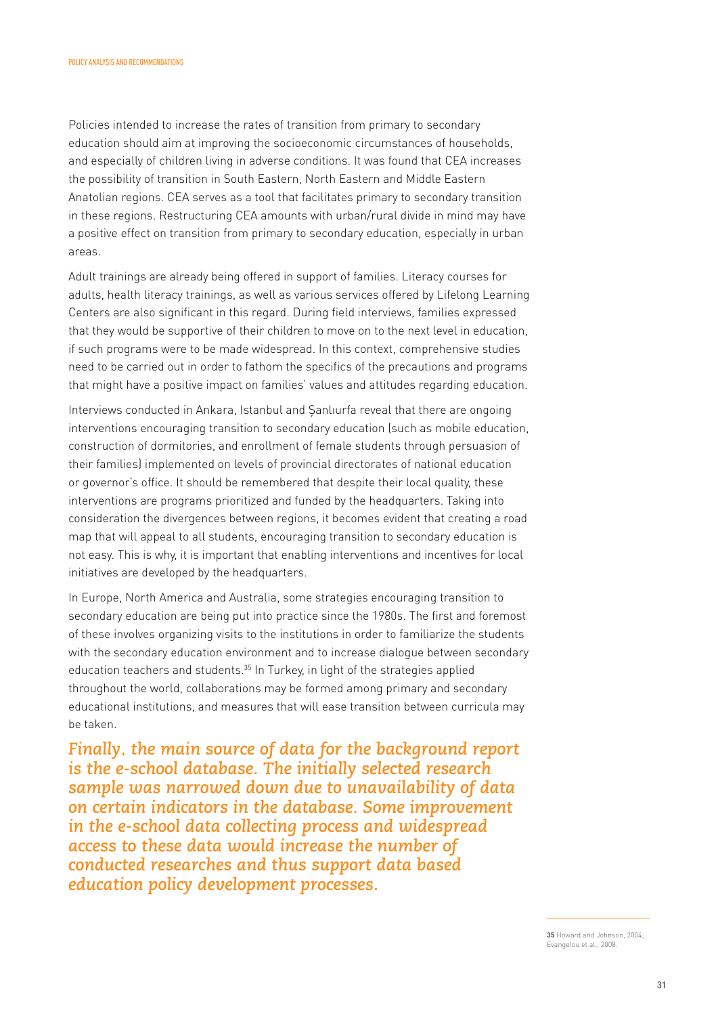Policies intended to increase the rates of transition from primary to secondary education should aim at improving the socioeconomic circumstances of households, and especially of children living in adverse conditions. It was found that CEA increases the possibility of transition in South Eastern, North Eastern and Middle Eastern Anatolian regions. CEA serves as a tool that facilitates primary to secondary transition in these regions. Restructuring CEA amounts with urban/rural divide in mind may have a positive effect on transition from primary to secondary education, especially in urban areas.

Adult trainings are already being offered in support of families. Literacy courses for adults, health literacy trainings, as well as various services offered by Lifelong Learning Centers are also significant in this regard. During field interviews, families expressed that they would be supportive of their children to move on to the next level in education, if such programs were to be made widespread. In this context, comprehensive studies need to be carried out in order to fathom the specifics of the precautions and programs that might have a positive impact on families' values and attitudes regarding education.

Interviews conducted in Ankara, Istanbul and Şanlıurfa reveal that there are ongoing interventions encouraging transition to secondary education (such as mobile education, construction of dormitories, and enrollment of female students through persuasion of their families) implemented on levels of provincial directorates of national education or governor's office. It should be remembered that despite their local quality, these interventions are programs prioritized and funded by the headquarters. Taking into consideration the divergences between regions, it becomes evident that creating a road map that will appeal to all students, encouraging transition to secondary education is not easy. This is why, it is important that enabling interventions and incentives for local initiatives are developed by the headquarters.

In Europe, North America and Australia, some strategies encouraging transition to secondary education are being put into practice since the 1980s. The first and foremost of these involves organizing visits to the institutions in order to familiarize the students with the secondary education environment and to increase dialogue between secondary education teachers and students.<sup>35</sup> In Turkey, in light of the strategies applied throughout the world, collaborations may be formed among primary and secondary educational institutions, and measures that will ease transition between curricula may be taken.

*Finally, the main source of data for the background report is the e-school database. The initially selected research sample was narrowed down due to unavailability of data on certain indicators in the database. Some improvement in the e-school data collecting process and widespread access to these data would increase the number of conducted researches and thus support data based education policy development processes.*

> **35** Howard and Johnson, 2004; Evangelou et al., 2008.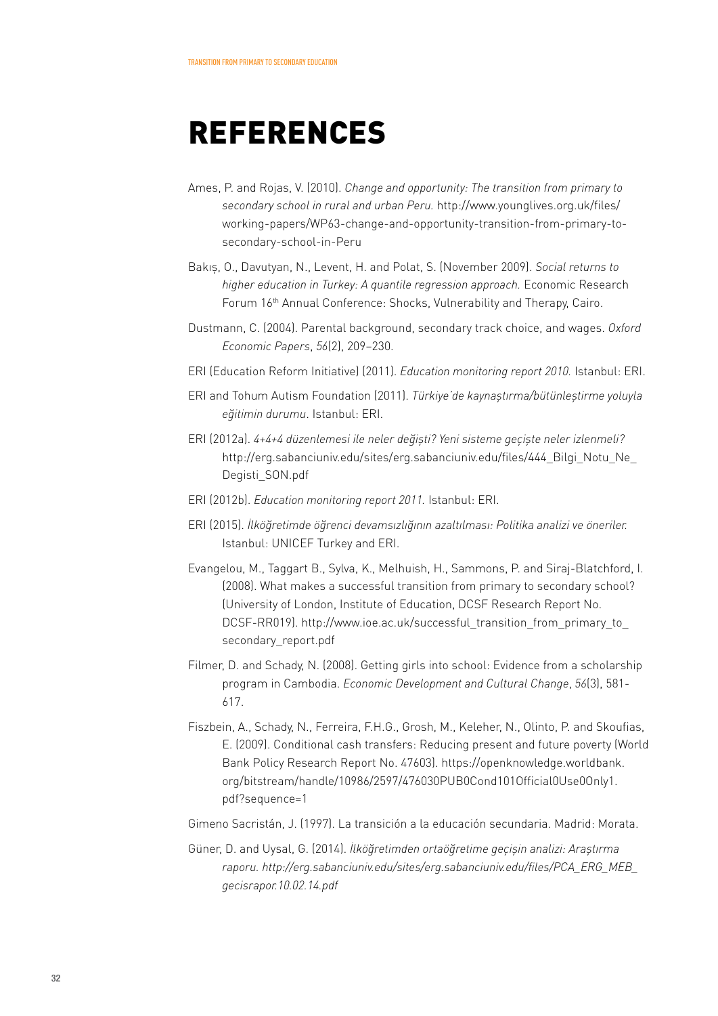# REFERENCES

- Ames, P. and Rojas, V. (2010). *Change and opportunity: The transition from primary to secondary school in rural and urban Peru.* http://www.younglives.org.uk/files/ working-papers/WP63-change-and-opportunity-transition-from-primary-tosecondary-school-in-Peru
- Bakış, O., Davutyan, N., Levent, H. and Polat, S. (November 2009). *Social returns to higher education in Turkey: A quantile regression approach.* Economic Research Forum 16th Annual Conference: Shocks, Vulnerability and Therapy, Cairo.
- Dustmann, C. (2004). Parental background, secondary track choice, and wages. *Oxford Economic Papers*, *56*(2), 209–230.
- ERI (Education Reform Initiative) (2011). *Education monitoring report 2010.* Istanbul: ERI.
- ERI and Tohum Autism Foundation (2011). *Türkiye'de kaynaştırma/bütünleştirme yoluyla eğitimin durumu*. Istanbul: ERI.
- ERI (2012a). *4+4+4 düzenlemesi ile neler değişti? Yeni sisteme geçişte neler izlenmeli?* http://erg.sabanciuniv.edu/sites/erg.sabanciuniv.edu/files/444\_Bilgi\_Notu\_Ne\_ Degisti\_SON.pdf
- ERI (2012b). *Education monitoring report 2011.* Istanbul: ERI.
- ERI (2015). *İlköğretimde öğrenci devamsızlığının azaltılması: Politika analizi ve öneriler.* Istanbul: UNICEF Turkey and ERI.
- Evangelou, M., Taggart B., Sylva, K., Melhuish, H., Sammons, P. and Siraj-Blatchford, I. (2008). What makes a successful transition from primary to secondary school? (University of London, Institute of Education, DCSF Research Report No. DCSF-RR019). http://www.ioe.ac.uk/successful\_transition\_from\_primary\_to\_ secondary report.pdf
- Filmer, D. and Schady, N. (2008). Getting girls into school: Evidence from a scholarship program in Cambodia. *Economic Development and Cultural Change*, *56*(3), 581- 617.
- Fiszbein, A., Schady, N., Ferreira, F.H.G., Grosh, M., Keleher, N., Olinto, P. and Skoufias, E. (2009). Conditional cash transfers: Reducing present and future poverty (World Bank Policy Research Report No. 47603). https://openknowledge.worldbank. org/bitstream/handle/10986/2597/476030PUB0Cond101Official0Use0Only1. pdf?sequence=1

Gimeno Sacristán, J. (1997). La transición a la educación secundaria. Madrid: Morata.

Güner, D. and Uysal, G. (2014). *İlköğretimden ortaöğretime geçişin analizi: Araştırma raporu. http://erg.sabanciuniv.edu/sites/erg.sabanciuniv.edu/files/PCA\_ERG\_MEB\_ gecisrapor.10.02.14.pdf*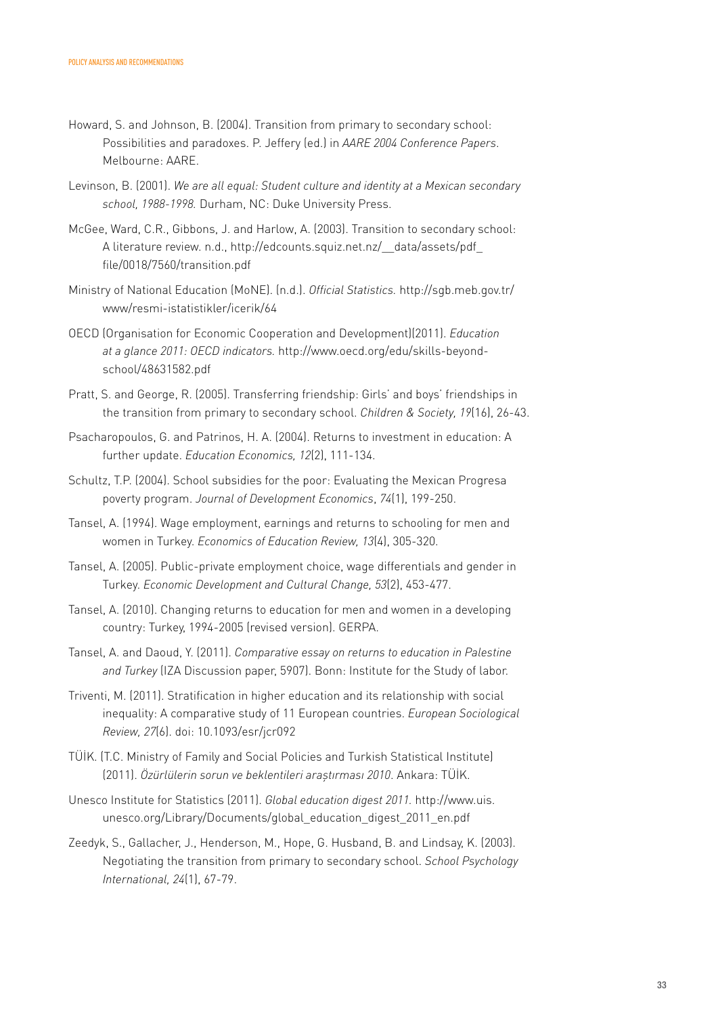- Howard, S. and Johnson, B. (2004). Transition from primary to secondary school: Possibilities and paradoxes. P. Jeffery (ed.) in *AARE 2004 Conference Papers*. Melbourne: AARE.
- Levinson, B. (2001). *We are all equal: Student culture and identity at a Mexican secondary school, 1988-1998.* Durham, NC: Duke University Press.
- McGee, Ward, C.R., Gibbons, J. and Harlow, A. (2003). Transition to secondary school: A literature review. n.d., http://edcounts.squiz.net.nz/\_\_data/assets/pdf\_ file/0018/7560/transition.pdf
- Ministry of National Education (MoNE). (n.d.). *Official Statistics.* http://sgb.meb.gov.tr/ www/resmi-istatistikler/icerik/64
- OECD (Organisation for Economic Cooperation and Development)(2011). *Education at a glance 2011: OECD indicators.* http://www.oecd.org/edu/skills-beyondschool/48631582.pdf
- Pratt, S. and George, R. (2005). Transferring friendship: Girls' and boys' friendships in the transition from primary to secondary school. *Children & Society, 19*(16), 26-43.
- Psacharopoulos, G. and Patrinos, H. A. (2004). Returns to investment in education: A further update. *Education Economics, 12*(2), 111-134.
- Schultz, T.P. (2004). School subsidies for the poor: Evaluating the Mexican Progresa poverty program. *Journal of Development Economics*, *74*(1), 199-250.
- Tansel, A. (1994). Wage employment, earnings and returns to schooling for men and women in Turkey. *Economics of Education Review, 13*(4), 305-320.
- Tansel, A. (2005). Public-private employment choice, wage differentials and gender in Turkey. *Economic Development and Cultural Change, 53*(2), 453-477.
- Tansel, A. (2010). Changing returns to education for men and women in a developing country: Turkey, 1994-2005 (revised version). GERPA.
- Tansel, A. and Daoud, Y. (2011). *Comparative essay on returns to education in Palestine and Turkey* (IZA Discussion paper, 5907). Bonn: Institute for the Study of labor.
- Triventi, M. (2011). Stratification in higher education and its relationship with social inequality: A comparative study of 11 European countries. *European Sociological Review, 27*(6). doi: 10.1093/esr/jcr092
- TÜİK. (T.C. Ministry of Family and Social Policies and Turkish Statistical Institute) (2011). *Özürlülerin sorun ve beklentileri araştırması 2010*. Ankara: TÜİK.
- Unesco Institute for Statistics (2011). *Global education digest 2011.* http://www.uis. unesco.org/Library/Documents/global\_education\_digest\_2011\_en.pdf
- Zeedyk, S., Gallacher, J., Henderson, M., Hope, G. Husband, B. and Lindsay, K. (2003). Negotiating the transition from primary to secondary school. *School Psychology International, 24*(1), 67-79.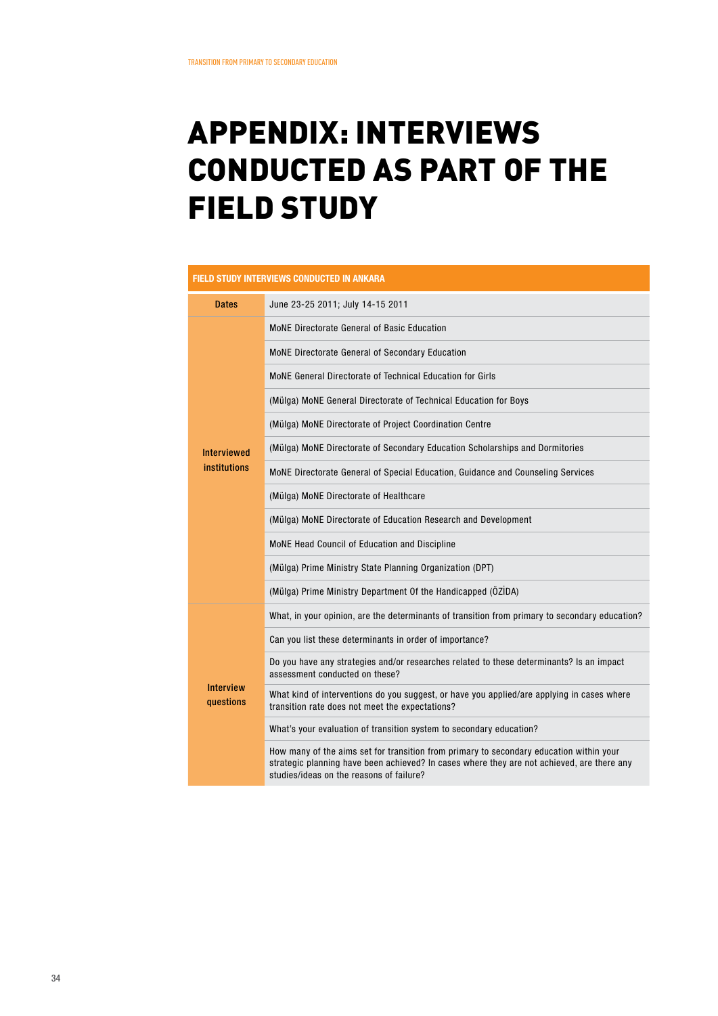# APPENDIX: INTERVIEWS CONDUCTED AS PART OF THE FIELD STUDY

| <b>FIELD STUDY INTERVIEWS CONDUCTED IN ANKARA</b> |                                                                                                                                                                                                                                   |  |  |
|---------------------------------------------------|-----------------------------------------------------------------------------------------------------------------------------------------------------------------------------------------------------------------------------------|--|--|
| <b>Dates</b>                                      | June 23-25 2011; July 14-15 2011                                                                                                                                                                                                  |  |  |
|                                                   | MoNE Directorate General of Basic Education                                                                                                                                                                                       |  |  |
|                                                   | MoNE Directorate General of Secondary Education                                                                                                                                                                                   |  |  |
|                                                   | MoNE General Directorate of Technical Education for Girls                                                                                                                                                                         |  |  |
|                                                   | (Mülga) MoNE General Directorate of Technical Education for Boys                                                                                                                                                                  |  |  |
|                                                   | (Mülga) MoNE Directorate of Project Coordination Centre                                                                                                                                                                           |  |  |
| <b>Interviewed</b><br>institutions                | (Mülga) MoNE Directorate of Secondary Education Scholarships and Dormitories                                                                                                                                                      |  |  |
|                                                   | MoNE Directorate General of Special Education, Guidance and Counseling Services                                                                                                                                                   |  |  |
|                                                   | (Mülga) MoNE Directorate of Healthcare                                                                                                                                                                                            |  |  |
|                                                   | (Mülga) MoNE Directorate of Education Research and Development                                                                                                                                                                    |  |  |
|                                                   | MoNE Head Council of Education and Discipline                                                                                                                                                                                     |  |  |
|                                                   | (Mülga) Prime Ministry State Planning Organization (DPT)                                                                                                                                                                          |  |  |
|                                                   | (Mülga) Prime Ministry Department Of the Handicapped (ÖZİDA)                                                                                                                                                                      |  |  |
|                                                   | What, in your opinion, are the determinants of transition from primary to secondary education?                                                                                                                                    |  |  |
|                                                   | Can you list these determinants in order of importance?                                                                                                                                                                           |  |  |
| <b>Interview</b><br>questions                     | Do you have any strategies and/or researches related to these determinants? Is an impact<br>assessment conducted on these?                                                                                                        |  |  |
|                                                   | What kind of interventions do you suggest, or have you applied/are applying in cases where<br>transition rate does not meet the expectations?                                                                                     |  |  |
|                                                   | What's your evaluation of transition system to secondary education?                                                                                                                                                               |  |  |
|                                                   | How many of the aims set for transition from primary to secondary education within your<br>strategic planning have been achieved? In cases where they are not achieved, are there any<br>studies/ideas on the reasons of failure? |  |  |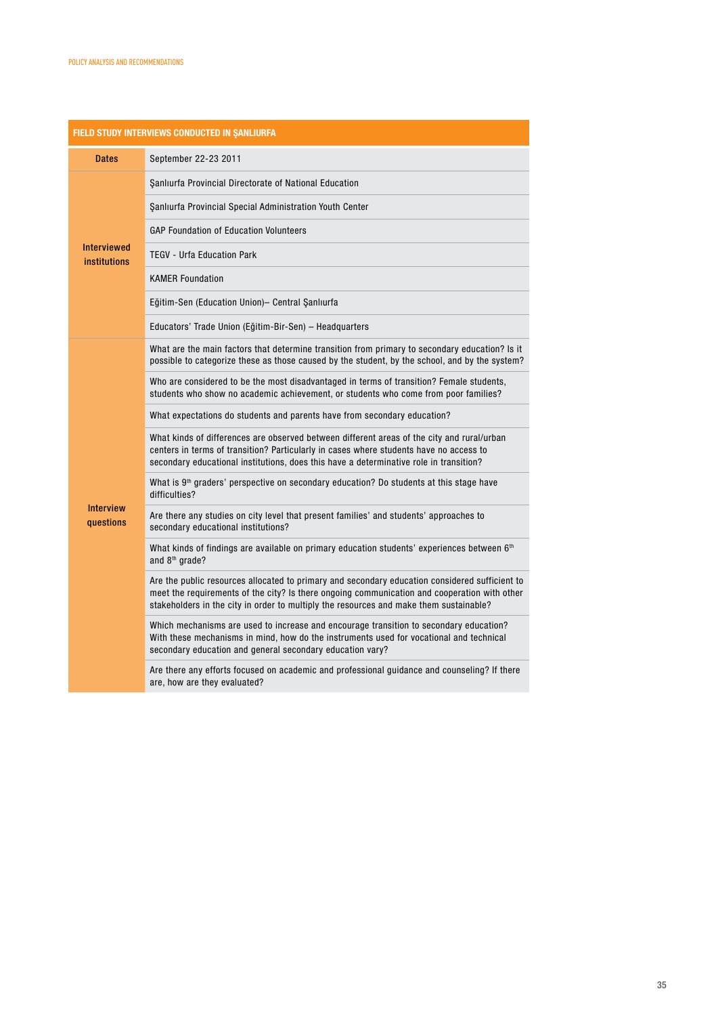| FIELD STUDY INTERVIEWS CONDUCTED IN SANLIURFA |                                                                                                                                                                                                                                                                                          |  |
|-----------------------------------------------|------------------------------------------------------------------------------------------------------------------------------------------------------------------------------------------------------------------------------------------------------------------------------------------|--|
| <b>Dates</b>                                  | September 22-23 2011                                                                                                                                                                                                                                                                     |  |
|                                               | Sanliurfa Provincial Directorate of National Education                                                                                                                                                                                                                                   |  |
|                                               | Sanliurfa Provincial Special Administration Youth Center                                                                                                                                                                                                                                 |  |
|                                               | <b>GAP Foundation of Education Volunteers</b>                                                                                                                                                                                                                                            |  |
| <b>Interviewed</b><br>institutions            | <b>TEGV - Urfa Education Park</b>                                                                                                                                                                                                                                                        |  |
|                                               | <b>KAMER Foundation</b>                                                                                                                                                                                                                                                                  |  |
|                                               | Eğitim-Sen (Education Union) - Central Şanlıurfa                                                                                                                                                                                                                                         |  |
|                                               | Educators' Trade Union (Eğitim-Bir-Sen) - Headquarters                                                                                                                                                                                                                                   |  |
|                                               | What are the main factors that determine transition from primary to secondary education? Is it<br>possible to categorize these as those caused by the student, by the school, and by the system?                                                                                         |  |
|                                               | Who are considered to be the most disadvantaged in terms of transition? Female students,<br>students who show no academic achievement, or students who come from poor families?                                                                                                          |  |
|                                               | What expectations do students and parents have from secondary education?                                                                                                                                                                                                                 |  |
|                                               | What kinds of differences are observed between different areas of the city and rural/urban<br>centers in terms of transition? Particularly in cases where students have no access to<br>secondary educational institutions, does this have a determinative role in transition?           |  |
|                                               | What is 9 <sup>th</sup> graders' perspective on secondary education? Do students at this stage have<br>difficulties?                                                                                                                                                                     |  |
| <b>Interview</b><br>questions                 | Are there any studies on city level that present families' and students' approaches to<br>secondary educational institutions?                                                                                                                                                            |  |
|                                               | What kinds of findings are available on primary education students' experiences between $6th$<br>and 8 <sup>th</sup> grade?                                                                                                                                                              |  |
|                                               | Are the public resources allocated to primary and secondary education considered sufficient to<br>meet the requirements of the city? Is there ongoing communication and cooperation with other<br>stakeholders in the city in order to multiply the resources and make them sustainable? |  |
|                                               | Which mechanisms are used to increase and encourage transition to secondary education?<br>With these mechanisms in mind, how do the instruments used for vocational and technical<br>secondary education and general secondary education vary?                                           |  |
|                                               | Are there any efforts focused on academic and professional guidance and counseling? If there<br>are, how are they evaluated?                                                                                                                                                             |  |